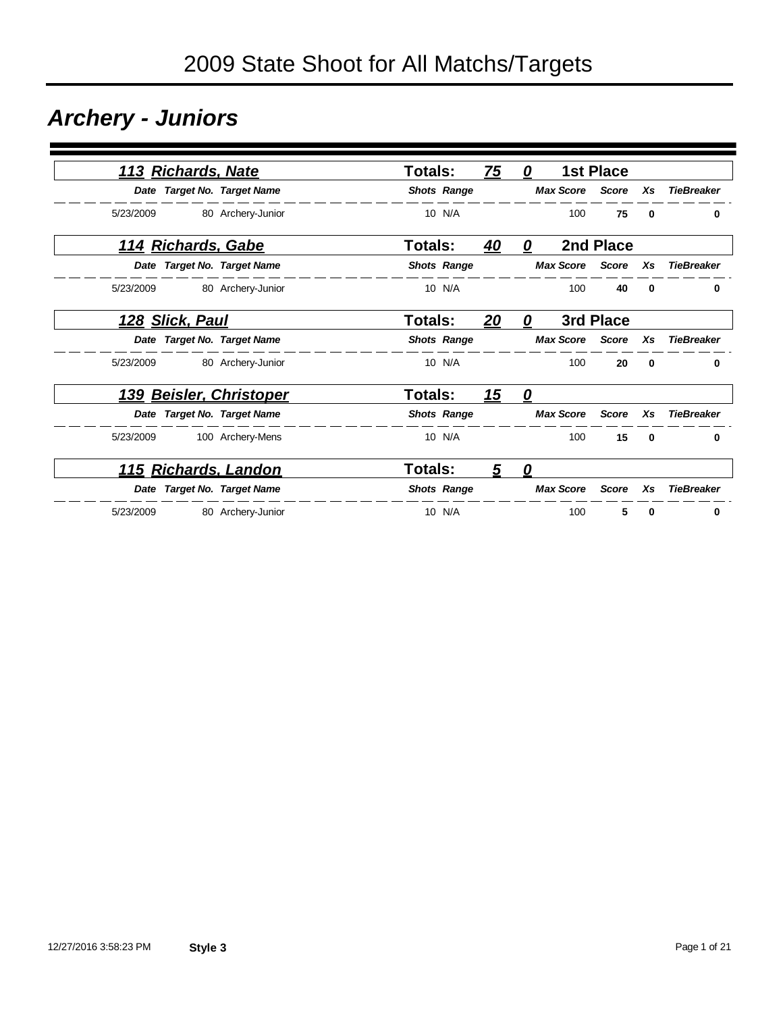## *Archery - Juniors*

|                   |          | <b>1st Place</b> |                  | 0                 | 75         | Totals:            |                             | 113 Richards, Nate         |           |
|-------------------|----------|------------------|------------------|-------------------|------------|--------------------|-----------------------------|----------------------------|-----------|
| <b>TieBreaker</b> | Xs       | <b>Score</b>     | <b>Max Score</b> |                   |            | <b>Shots Range</b> | Date Target No. Target Name |                            |           |
| 0                 | 0        | 75               | 100              |                   |            | 10 N/A             | 80 Archery-Junior           |                            | 5/23/2009 |
|                   |          | 2nd Place        |                  | 0                 | 40         | Totals:            |                             | <u> 114 Richards, Gabe</u> |           |
| <b>TieBreaker</b> | Xs       | <b>Score</b>     | <b>Max Score</b> |                   |            | <b>Shots Range</b> | Date Target No. Target Name |                            |           |
| 0                 | $\bf{0}$ | 40               | 100              |                   |            | 10 N/A             | 80 Archery-Junior           |                            | 5/23/2009 |
|                   |          | 3rd Place        |                  | 0                 | 20         | Totals:            |                             | 128 Slick, Paul            |           |
| <b>TieBreaker</b> | Xs       | <b>Score</b>     | <b>Max Score</b> |                   |            | <b>Shots Range</b> | Date Target No. Target Name |                            |           |
| 0                 | 0        | 20               | 100              |                   |            | 10 N/A             | 80 Archery-Junior           |                            | 5/23/2009 |
|                   |          |                  |                  | $\mathbf{\Omega}$ | <u> 15</u> | <b>Totals:</b>     | <b>Beisler, Christoper</b>  |                            | 139       |
| <b>TieBreaker</b> | Xs       | <b>Score</b>     | <b>Max Score</b> |                   |            | <b>Shots Range</b> | Date Target No. Target Name |                            |           |
| 0                 | $\bf{0}$ | 15               | 100              |                   |            | 10 N/A             | 100 Archery-Mens            |                            | 5/23/2009 |
|                   |          |                  |                  | 0                 | 5          | <b>Totals:</b>     | 115 Richards, Landon        |                            |           |
| <b>TieBreaker</b> | Xs       | <b>Score</b>     | <b>Max Score</b> |                   |            | <b>Shots Range</b> | Date Target No. Target Name |                            |           |
| 0                 | 0        | 5                | 100              |                   |            | 10 N/A             | 80 Archery-Junior           |                            | 5/23/2009 |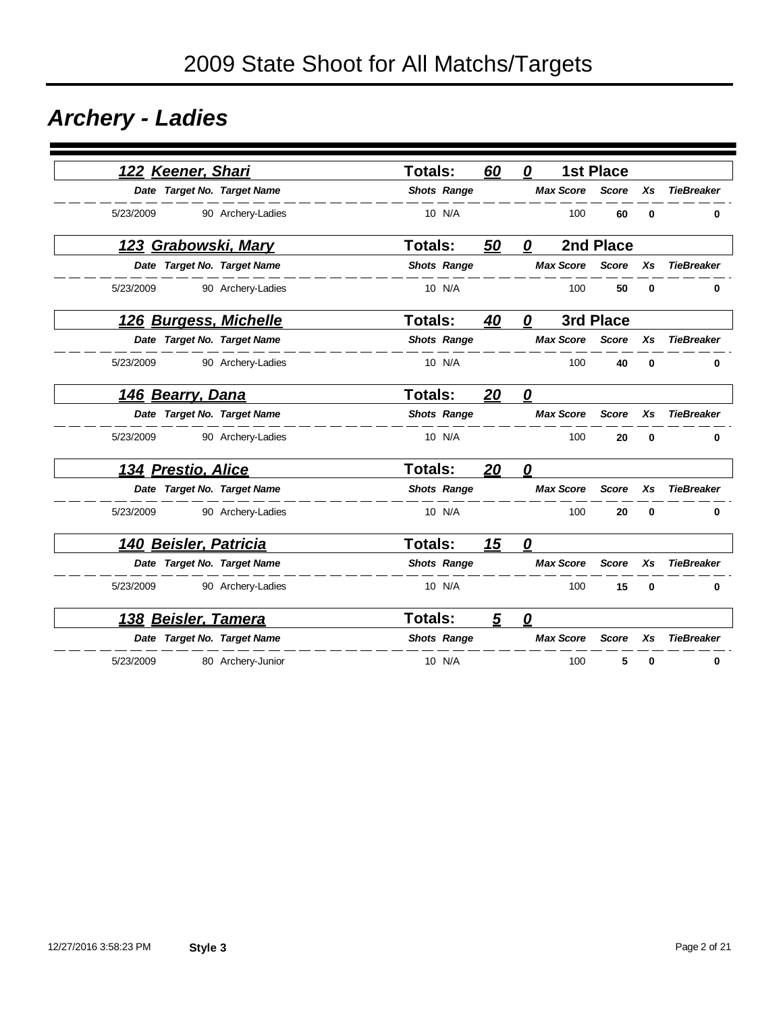## *Archery - Ladies*

| 122 Keener, Shari          |                             | <b>Totals:</b>     | 60 | 0                | <b>1st Place</b> |          |                   |
|----------------------------|-----------------------------|--------------------|----|------------------|------------------|----------|-------------------|
|                            | Date Target No. Target Name | <b>Shots Range</b> |    | <b>Max Score</b> | <b>Score</b>     | Xs       | <b>TieBreaker</b> |
| 5/23/2009                  | 90 Archery-Ladies           | 10 N/A             |    | 100              | 60               | $\bf{0}$ | 0                 |
| <u>123 Grabowski, Mary</u> |                             | Totals:            | 50 | 0                | 2nd Place        |          |                   |
|                            | Date Target No. Target Name | <b>Shots Range</b> |    | <b>Max Score</b> | <b>Score</b>     | Xs       | <b>TieBreaker</b> |
| 5/23/2009                  | 90 Archery-Ladies           | 10 N/A             |    | 100              | 50               | 0        | 0                 |
| 126 Burgess, Michelle      |                             | Totals:            | 40 | 0                | 3rd Place        |          |                   |
|                            | Date Target No. Target Name | <b>Shots Range</b> |    | <b>Max Score</b> | <b>Score</b>     | Xs       | <b>TieBreaker</b> |
| 5/23/2009                  | 90 Archery-Ladies           | 10 N/A             |    | 100              | 40               | 0        | 0                 |
| 146 Bearry, Dana           |                             | <b>Totals:</b>     | 20 | 0                |                  |          |                   |
|                            | Date Target No. Target Name | <b>Shots Range</b> |    | <b>Max Score</b> | <b>Score</b>     | Xs       | <b>TieBreaker</b> |
| 5/23/2009                  | 90 Archery-Ladies           | 10 N/A             |    | 100              | 20               | $\bf{0}$ | 0                 |
| 134 Prestio, Alice         |                             | <b>Totals:</b>     | 20 | 0                |                  |          |                   |
|                            | Date Target No. Target Name | <b>Shots Range</b> |    | <b>Max Score</b> | <b>Score</b>     | Xs       | <b>TieBreaker</b> |
| 5/23/2009                  | 90 Archery-Ladies           | 10 N/A             |    | 100              | 20               | $\bf{0}$ | $\bf{0}$          |
| 140 Beisler, Patricia      |                             | <b>Totals:</b>     | 15 | 0                |                  |          |                   |
|                            | Date Target No. Target Name | <b>Shots Range</b> |    | <b>Max Score</b> | <b>Score</b>     | Xs       | <b>TieBreaker</b> |
| 5/23/2009                  | 90 Archery-Ladies           | 10 N/A             |    | 100              | 15               | $\bf{0}$ | 0                 |
| <u>138 Beisler, Tamera</u> |                             | <b>Totals:</b>     | 5  | 0                |                  |          |                   |
|                            | Date Target No. Target Name | <b>Shots Range</b> |    | <b>Max Score</b> | <b>Score</b>     | Xs       | <b>TieBreaker</b> |
| 5/23/2009                  | 80 Archery-Junior           | 10 N/A             |    | 100              | 5                | 0        | 0                 |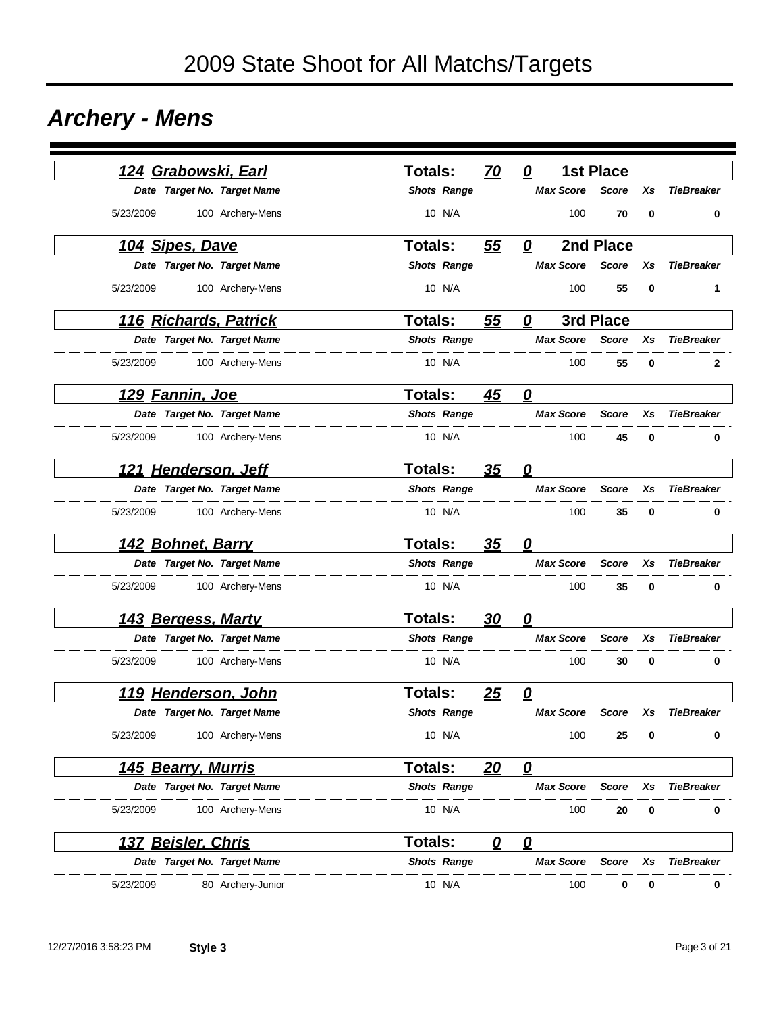## *Archery - Mens*

|                        | 124 Grabowski, Earl         | <b>Totals:</b>     | 70        | 0                       | <b>1st Place</b> |    |                   |
|------------------------|-----------------------------|--------------------|-----------|-------------------------|------------------|----|-------------------|
|                        | Date Target No. Target Name | <b>Shots Range</b> |           | <b>Max Score</b>        | <b>Score</b>     | Xs | <b>TieBreaker</b> |
| 5/23/2009              | 100 Archery-Mens            | 10 N/A             |           | 100                     | 70               | 0  | 0                 |
| 104 Sipes, Dave        |                             | <b>Totals:</b>     | 55        | 0                       | 2nd Place        |    |                   |
|                        | Date Target No. Target Name | <b>Shots Range</b> |           | <b>Max Score</b>        | <b>Score</b>     | Xs | <b>TieBreaker</b> |
| 5/23/2009              | 100 Archery-Mens            | 10 N/A             |           | 100                     | 55               | 0  | 1                 |
|                        | 116 Richards, Patrick       | Totals:            | 55        | 0                       | 3rd Place        |    |                   |
|                        | Date Target No. Target Name | <b>Shots Range</b> |           | <b>Max Score</b>        | <b>Score</b>     | Xs | <b>TieBreaker</b> |
| 5/23/2009              | 100 Archery-Mens            | 10 N/A             |           | 100                     | 55               | 0  | 2                 |
| <u>129 Fannin, Joe</u> |                             | <b>Totals:</b>     | <u>45</u> | $\mathbf{Q}$            |                  |    |                   |
|                        | Date Target No. Target Name | <b>Shots Range</b> |           | <b>Max Score</b>        | <b>Score</b>     | Xs | <b>TieBreaker</b> |
| 5/23/2009              | 100 Archery-Mens            | 10 N/A             |           | 100                     | 45               | 0  | 0                 |
|                        | 121 Henderson, Jeff         | <b>Totals:</b>     | <u>35</u> | $\overline{\mathbf{0}}$ |                  |    |                   |
|                        | Date Target No. Target Name | <b>Shots Range</b> |           | <b>Max Score</b>        | <b>Score</b>     | Xs | <b>TieBreaker</b> |
| 5/23/2009              | 100 Archery-Mens            | 10 N/A             |           | 100                     | 35               | 0  | 0                 |
|                        | 142 Bohnet, Barry           | <b>Totals:</b>     | 35        | 0                       |                  |    |                   |
|                        | Date Target No. Target Name | <b>Shots Range</b> |           | <b>Max Score</b>        | <b>Score</b>     | Xs | <b>TieBreaker</b> |
| 5/23/2009              | 100 Archery-Mens            | 10 N/A             |           | 100                     | 35               | 0  | 0                 |
|                        | 143 Bergess, Marty          | <b>Totals:</b>     | <u>30</u> | 0                       |                  |    |                   |
|                        | Date Target No. Target Name | <b>Shots Range</b> |           | <b>Max Score</b>        | <b>Score</b>     | Xs | <b>TieBreaker</b> |
| 5/23/2009              | 100 Archery-Mens            | 10 N/A             |           | 100                     | 30               | 0  | 0                 |
|                        | 119 Henderson, John         | <b>Totals:</b>     | 25        | 0                       |                  |    |                   |
|                        | Date Target No. Target Name | <b>Shots Range</b> |           | <b>Max Score</b>        | <b>Score</b>     | Xs | <b>TieBreaker</b> |
| 5/23/2009              | 100 Archery-Mens            | 10 N/A             |           | 100                     | 25               | 0  | 0                 |
|                        | 145 Bearry, Murris          | Totals:            | 20        | $\mathbf{\Omega}$       |                  |    |                   |
|                        | Date Target No. Target Name | <b>Shots Range</b> |           | <b>Max Score</b>        | <b>Score</b>     | Xs | <b>TieBreaker</b> |
| 5/23/2009              | 100 Archery-Mens            | 10 N/A             |           | 100                     | 20               | 0  | 0                 |
|                        | <u> 137 Beisler, Chris</u>  | <b>Totals:</b>     | 0         | 0                       |                  |    |                   |
|                        | Date Target No. Target Name | <b>Shots Range</b> |           | <b>Max Score</b>        | Score            | Xs | <b>TieBreaker</b> |
| 5/23/2009              | 80 Archery-Junior           | 10 N/A             |           | 100                     | 0                | 0  | 0                 |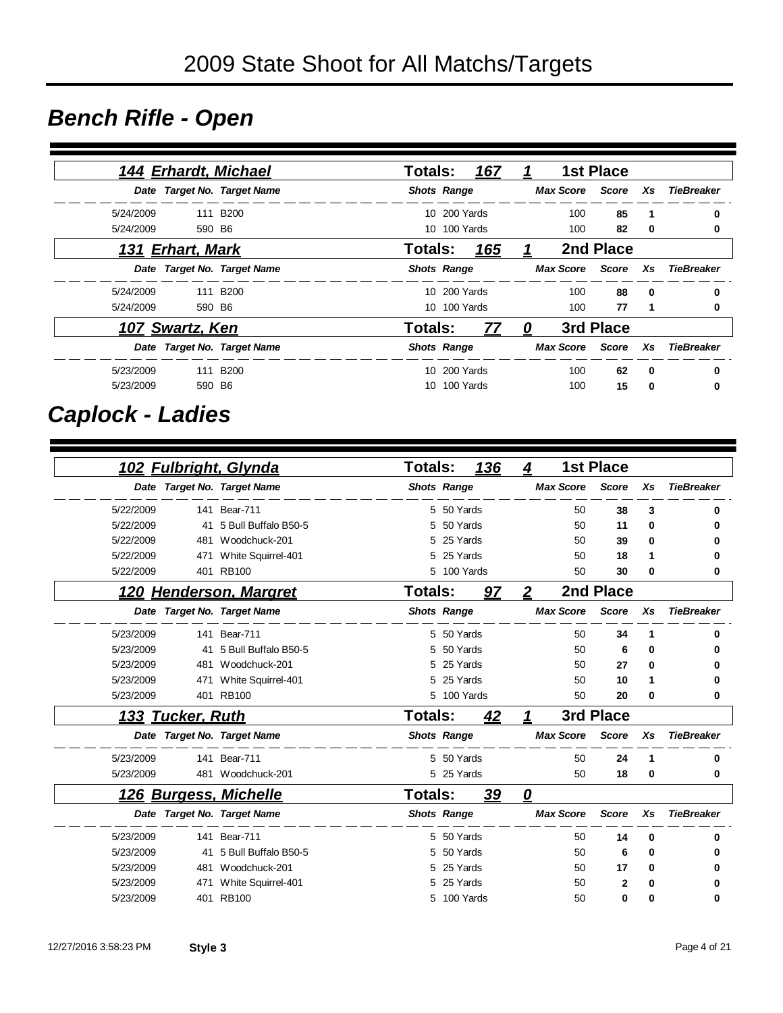### *Bench Rifle - Open*

|           |                         | 144 Erhardt, Michael        |                    |              | Totals: <u>167  1</u> |     | <b>1st Place</b> |                |                               |
|-----------|-------------------------|-----------------------------|--------------------|--------------|-----------------------|-----|------------------|----------------|-------------------------------|
|           |                         | Date Target No. Target Name |                    |              | <b>Shots Range</b>    |     |                  |                | Max Score Score Xs TieBreaker |
| 5/24/2009 |                         | 111 B <sub>200</sub>        |                    | 10 200 Yards |                       | 100 | 85               | $\mathbf 1$    | 0                             |
| 5/24/2009 | 590 B6                  |                             |                    | 10 100 Yards |                       | 100 | 82               | 0              | 0                             |
|           | <u>131 Erhart, Mark</u> |                             |                    |              |                       |     | 2nd Place        |                |                               |
|           |                         | Date Target No. Target Name |                    |              | <b>Shots Range</b>    |     |                  |                | Max Score Score Xs TieBreaker |
|           | 5/24/2009 111 B200      |                             |                    | 10 200 Yards |                       | 100 | 88               | $\mathbf{0}$   | 0                             |
| 5/24/2009 | 590 B6                  |                             |                    | 10 100 Yards |                       | 100 | 77               | $\overline{1}$ | 0                             |
|           | 107 Swartz, Ken         |                             | Totals:            |              | <u>77 0</u>           |     | 3rd Place        |                |                               |
|           |                         | Date Target No. Target Name | <b>Shots Range</b> |              |                       |     |                  |                | Max Score Score Xs TieBreaker |
| 5/23/2009 | 111 B200                |                             |                    | 10 200 Yards |                       | 100 | 62               | 0              | 0                             |
| 5/23/2009 | 590 B6                  |                             |                    | 10 100 Yards |                       | 100 | 15               | 0              | 0                             |

### *Caplock - Ladies*

|           |                     | 102 Fulbright, Glynda       | <b>Totals:</b> |                    | <u>136</u> | 4                      |                  | <b>1st Place</b> |          |                   |
|-----------|---------------------|-----------------------------|----------------|--------------------|------------|------------------------|------------------|------------------|----------|-------------------|
|           |                     | Date Target No. Target Name |                | <b>Shots Range</b> |            |                        | <b>Max Score</b> | <b>Score</b>     | Xs       | <b>TieBreaker</b> |
| 5/22/2009 |                     | 141 Bear-711                |                | 5 50 Yards         |            |                        | 50               | 38               | 3        | 0                 |
| 5/22/2009 | 41                  | 5 Bull Buffalo B50-5        | 5              | 50 Yards           |            |                        | 50               | 11               | $\bf{0}$ |                   |
| 5/22/2009 | 481                 | Woodchuck-201               |                | 25 Yards           |            |                        | 50               | 39               | $\bf{0}$ |                   |
| 5/22/2009 | 471                 | White Squirrel-401          | 5              | 25 Yards           |            |                        | 50               | 18               | 1        |                   |
| 5/22/2009 |                     | 401 RB100                   | 5.             | 100 Yards          |            |                        | 50               | 30               | $\bf{0}$ | 0                 |
| 120       |                     | <b>Henderson, Margret</b>   | <b>Totals:</b> |                    | <u>97</u>  | $\overline{2}$         |                  | 2nd Place        |          |                   |
|           |                     | Date Target No. Target Name |                | <b>Shots Range</b> |            |                        | <b>Max Score</b> | <b>Score</b>     | Xs       | <b>TieBreaker</b> |
| 5/23/2009 |                     | 141 Bear-711                |                | 5 50 Yards         |            |                        | 50               | 34               | 1        | 0                 |
| 5/23/2009 | 41                  | 5 Bull Buffalo B50-5        | 5              | 50 Yards           |            |                        | 50               | 6                | $\bf{0}$ | 0                 |
| 5/23/2009 | 481                 | Woodchuck-201               | 5              | 25 Yards           |            |                        | 50               | 27               | 0        | 0                 |
| 5/23/2009 | 471                 | White Squirrel-401          | 5              | 25 Yards           |            |                        | 50               | 10               | 1        | 0                 |
| 5/23/2009 |                     | 401 RB100                   | 5              | 100 Yards          |            |                        | 50               | 20               | $\bf{0}$ | 0                 |
| 133       | <b>Tucker, Ruth</b> |                             | <b>Totals:</b> |                    | 42         |                        |                  | 3rd Place        |          |                   |
|           |                     | Date Target No. Target Name |                | <b>Shots Range</b> |            |                        | <b>Max Score</b> | <b>Score</b>     | Xs       | <b>TieBreaker</b> |
| 5/23/2009 |                     | 141 Bear-711                |                | 5 50 Yards         |            |                        | 50               | 24               | 1        | 0                 |
| 5/23/2009 |                     | 481 Woodchuck-201           |                | 5 25 Yards         |            |                        | 50               | 18               | $\bf{0}$ | 0                 |
| 126       |                     | <b>Burgess, Michelle</b>    | <b>Totals:</b> |                    | 39         | $\boldsymbol{\varrho}$ |                  |                  |          |                   |
|           |                     | Date Target No. Target Name |                | <b>Shots Range</b> |            |                        | <b>Max Score</b> | <b>Score</b>     | Xs       | <b>TieBreaker</b> |
| 5/23/2009 | 141                 | <b>Bear-711</b>             |                | 5 50 Yards         |            |                        | 50               | 14               | $\bf{0}$ | 0                 |
| 5/23/2009 | 41                  | 5 Bull Buffalo B50-5        | 5              | 50 Yards           |            |                        | 50               | 6                | 0        | 0                 |
| 5/23/2009 | 481                 | Woodchuck-201               | 5              | 25 Yards           |            |                        | 50               | 17               | $\bf{0}$ | 0                 |
| 5/23/2009 | 471                 | White Squirrel-401          | 5              | 25 Yards           |            |                        | 50               | $\mathbf{2}$     | 0        | 0                 |
| 5/23/2009 |                     | 401 RB100                   |                | 5 100 Yards        |            |                        | 50               | 0                | 0        | 0                 |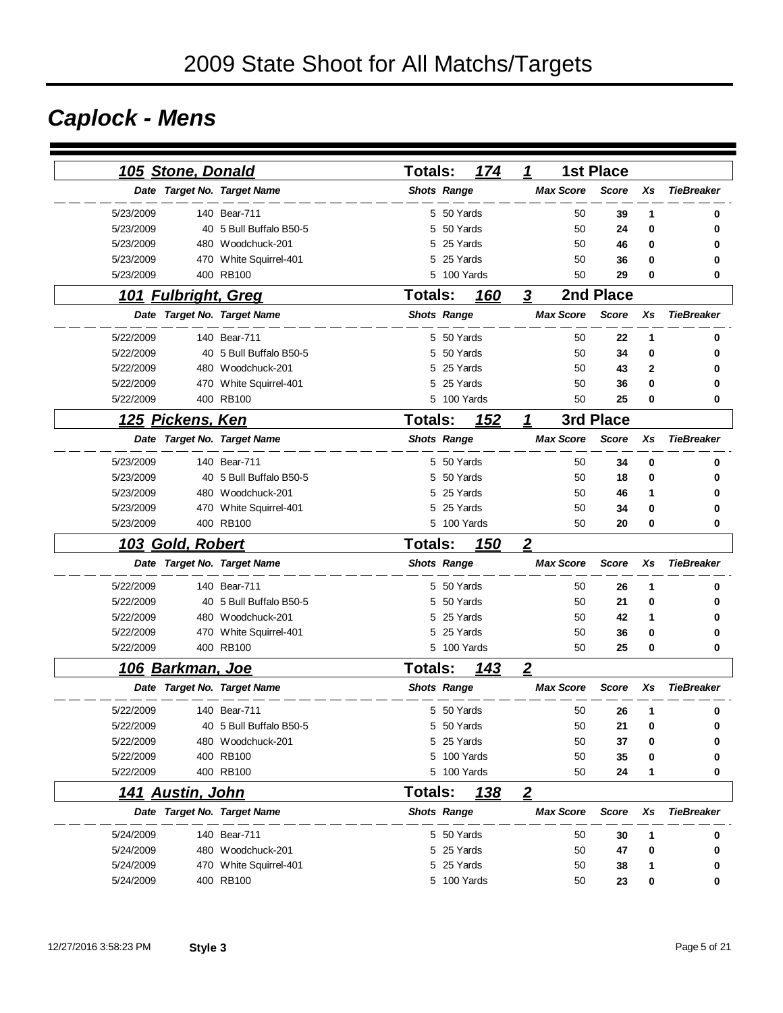# *Caplock - Mens*

|           | <b>105 Stone, Donald</b> |                             | <b>Totals:</b>     | 174         | 1                |                  | <b>1st Place</b> |              |                   |
|-----------|--------------------------|-----------------------------|--------------------|-------------|------------------|------------------|------------------|--------------|-------------------|
|           |                          | Date Target No. Target Name | <b>Shots Range</b> |             |                  | <b>Max Score</b> | <b>Score</b>     | Xs           | <b>TieBreaker</b> |
| 5/23/2009 |                          | 140 Bear-711                |                    | 5 50 Yards  |                  | 50               | 39               | 1            | 0                 |
| 5/23/2009 |                          | 40 5 Bull Buffalo B50-5     | 5                  | 50 Yards    |                  | 50               | 24               | 0            | 0                 |
| 5/23/2009 |                          | 480 Woodchuck-201           | 5                  | 25 Yards    |                  | 50               | 46               | 0            | 0                 |
| 5/23/2009 |                          | 470 White Squirrel-401      | 5                  | 25 Yards    |                  | 50               | 36               | 0            | 0                 |
| 5/23/2009 |                          | 400 RB100                   | 5                  | 100 Yards   |                  | 50               | 29               | 0            | 0                 |
|           | 101 Fulbright, Greg      |                             | <b>Totals:</b>     | 160         | 3                |                  | 2nd Place        |              |                   |
|           |                          | Date Target No. Target Name | <b>Shots Range</b> |             |                  | <b>Max Score</b> | <b>Score</b>     | Xs           | <b>TieBreaker</b> |
| 5/22/2009 |                          | 140 Bear-711                |                    | 5 50 Yards  |                  | 50               | 22               | 1            | 0                 |
| 5/22/2009 |                          | 40 5 Bull Buffalo B50-5     | 5                  | 50 Yards    |                  | 50               | 34               | 0            | 0                 |
| 5/22/2009 |                          | 480 Woodchuck-201           | 5                  | 25 Yards    |                  | 50               | 43               | $\mathbf{2}$ | O                 |
| 5/22/2009 | 470                      | White Squirrel-401          | 5                  | 25 Yards    |                  | 50               | 36               | 0            | 0                 |
| 5/22/2009 |                          | 400 RB100                   | 5                  | 100 Yards   |                  | 50               | 25               | 0            | 0                 |
| 125       | <u>Pickens, Ken</u>      |                             | <b>Totals:</b>     | <u> 152</u> | 1                |                  | 3rd Place        |              |                   |
|           |                          | Date Target No. Target Name | <b>Shots Range</b> |             |                  | <b>Max Score</b> | <b>Score</b>     | Xs           | <b>TieBreaker</b> |
| 5/23/2009 |                          | 140 Bear-711                | 5                  | 50 Yards    |                  | 50               | 34               | 0            | 0                 |
| 5/23/2009 |                          | 40 5 Bull Buffalo B50-5     | 5                  | 50 Yards    |                  | 50               | 18               | 0            | 0                 |
| 5/23/2009 |                          | 480 Woodchuck-201           | 5                  | 25 Yards    |                  | 50               | 46               | 1            |                   |
| 5/23/2009 |                          | 470 White Squirrel-401      | 5                  | 25 Yards    |                  | 50               | 34               | 0            | o                 |
| 5/23/2009 |                          | 400 RB100                   |                    | 5 100 Yards |                  | 50               | 20               | 0            | 0                 |
|           | <u>103 Gold, Robert</u>  |                             | <b>Totals:</b>     | 150         | $\overline{2}$   |                  |                  |              |                   |
|           |                          | Date Target No. Target Name | <b>Shots Range</b> |             |                  | <b>Max Score</b> | <b>Score</b>     | Xs           | <b>TieBreaker</b> |
| 5/22/2009 |                          | 140 Bear-711                |                    | 5 50 Yards  |                  | 50               | 26               | 1            | 0                 |
| 5/22/2009 |                          | 40 5 Bull Buffalo B50-5     | 5                  | 50 Yards    |                  | 50               | 21               | 0            | 0                 |
| 5/22/2009 |                          | 480 Woodchuck-201           | 5                  | 25 Yards    |                  | 50               | 42               | 1            |                   |
| 5/22/2009 |                          | 470 White Squirrel-401      | 5                  | 25 Yards    |                  | 50               | 36               | 0            | 0                 |
| 5/22/2009 |                          | 400 RB100                   |                    | 5 100 Yards |                  | 50               | 25               | 0            | 0                 |
|           | <u>106 Barkman, Joe</u>  |                             | <b>Totals:</b>     | 143         | $\boldsymbol{2}$ |                  |                  |              |                   |
|           |                          | Date Target No. Target Name | <b>Shots Range</b> |             |                  | <b>Max Score</b> | <b>Score</b>     | Xs           | <b>TieBreaker</b> |
| 5/22/2009 |                          | 140 Bear-711                |                    | 5 50 Yards  |                  | 50               | 26               | 1            | 0                 |
| 5/22/2009 |                          | 40 5 Bull Buffalo B50-5     |                    | 5 50 Yards  |                  | 50               | 21               | 0            | 0                 |
| 5/22/2009 |                          | 480 Woodchuck-201           |                    | 5 25 Yards  |                  | 50               | 37               | 0            |                   |
| 5/22/2009 |                          | 400 RB100                   |                    | 5 100 Yards |                  | 50               | 35               | 0            |                   |
| 5/22/2009 |                          | 400 RB100                   |                    | 5 100 Yards |                  | 50               | 24               | 1            | 0                 |
|           | <u>141 Austin, John</u>  |                             | Totals:            | <u> 138</u> | $\overline{2}$   |                  |                  |              |                   |
|           |                          | Date Target No. Target Name | <b>Shots Range</b> |             |                  | <b>Max Score</b> | <b>Score</b>     | Xs           | <b>TieBreaker</b> |
| 5/24/2009 |                          | 140 Bear-711                |                    | 5 50 Yards  |                  | 50               | 30               | 1            | 0                 |
| 5/24/2009 |                          | 480 Woodchuck-201           |                    | 5 25 Yards  |                  | 50               | 47               | 0            | 0                 |
| 5/24/2009 |                          | 470 White Squirrel-401      |                    | 5 25 Yards  |                  | 50               | 38               | 1            | 0                 |
| 5/24/2009 |                          | 400 RB100                   |                    | 5 100 Yards |                  | 50               | 23               | 0            | 0                 |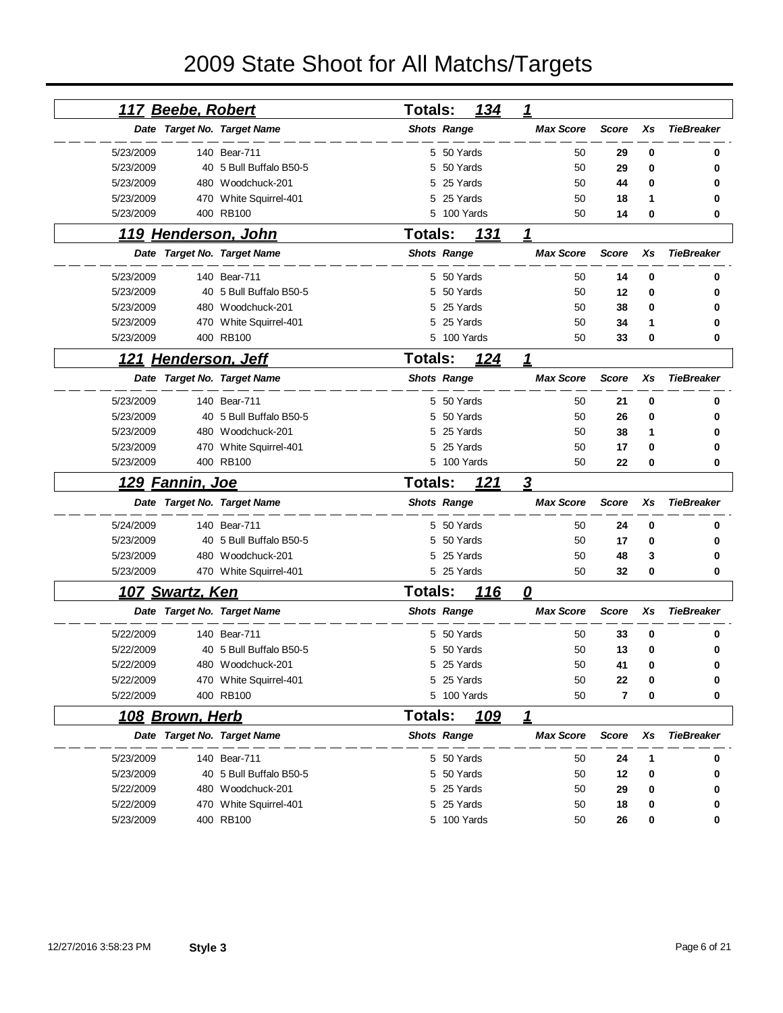# 2009 State Shoot for All Matchs/Targets

|           | <u>117 Beebe, Robert</u> |                             | <b>Totals:</b>     |             | <u>134</u>  | 1                |                |    |                   |
|-----------|--------------------------|-----------------------------|--------------------|-------------|-------------|------------------|----------------|----|-------------------|
|           |                          | Date Target No. Target Name | <b>Shots Range</b> |             |             | <b>Max Score</b> | <b>Score</b>   | Xs | <b>TieBreaker</b> |
| 5/23/2009 |                          | 140 Bear-711                |                    | 5 50 Yards  |             | 50               | 29             | 0  | 0                 |
| 5/23/2009 |                          | 40 5 Bull Buffalo B50-5     |                    | 50 Yards    |             | 50               | 29             | 0  | 0                 |
| 5/23/2009 |                          | 480 Woodchuck-201           |                    | 25 Yards    |             | 50               | 44             | 0  | 0                 |
| 5/23/2009 |                          | 470 White Squirrel-401      | 5                  | 25 Yards    |             | 50               | 18             | 1  | 0                 |
| 5/23/2009 |                          | 400 RB100                   |                    | 5 100 Yards |             | 50               | 14             | 0  | 0                 |
|           |                          | <u>119 Henderson, John</u>  | <b>Totals:</b>     |             | 131         | 1                |                |    |                   |
|           |                          | Date Target No. Target Name | <b>Shots Range</b> |             |             | <b>Max Score</b> | <b>Score</b>   | Xs | <b>TieBreaker</b> |
| 5/23/2009 |                          | 140 Bear-711                |                    | 5 50 Yards  |             | 50               | 14             | 0  | 0                 |
| 5/23/2009 |                          | 40 5 Bull Buffalo B50-5     | 5                  | 50 Yards    |             | 50               | 12             | 0  | 0                 |
| 5/23/2009 |                          | 480 Woodchuck-201           | 5                  | 25 Yards    |             | 50               | 38             | 0  | 0                 |
| 5/23/2009 |                          | 470 White Squirrel-401      | 5                  | 25 Yards    |             | 50               | 34             | 1  | 0                 |
| 5/23/2009 |                          | 400 RB100                   | 5                  | 100 Yards   |             | 50               | 33             | 0  | 0                 |
|           | 121 Henderson, Jeff      |                             | <b>Totals:</b>     |             | 124         | 1                |                |    |                   |
|           |                          | Date Target No. Target Name | <b>Shots Range</b> |             |             | <b>Max Score</b> | <b>Score</b>   | Xs | <b>TieBreaker</b> |
| 5/23/2009 |                          | 140 Bear-711                |                    | 5 50 Yards  |             | 50               | 21             | 0  | 0                 |
| 5/23/2009 |                          | 40 5 Bull Buffalo B50-5     | 5                  | 50 Yards    |             | 50               | 26             | 0  | 0                 |
| 5/23/2009 |                          | 480 Woodchuck-201           |                    | 25 Yards    |             | 50               | 38             | 1  | 0                 |
| 5/23/2009 |                          | 470 White Squirrel-401      |                    | 25 Yards    |             | 50               | 17             | 0  | 0                 |
| 5/23/2009 |                          | 400 RB100                   |                    | 5 100 Yards |             | 50               | 22             | 0  | 0                 |
|           | <u>129 Fannin, Joe</u>   |                             | <b>Totals:</b>     |             | 121         | $\overline{3}$   |                |    |                   |
|           |                          | Date Target No. Target Name | <b>Shots Range</b> |             |             | <b>Max Score</b> | <b>Score</b>   | Xs | <b>TieBreaker</b> |
| 5/24/2009 |                          | 140 Bear-711                |                    | 5 50 Yards  |             | 50               | 24             | 0  | 0                 |
| 5/23/2009 |                          | 40 5 Bull Buffalo B50-5     | 5                  | 50 Yards    |             | 50               | 17             | 0  | 0                 |
| 5/23/2009 |                          | 480 Woodchuck-201           | 5                  | 25 Yards    |             | 50               | 48             | 3  | 0                 |
| 5/23/2009 |                          | 470 White Squirrel-401      |                    | 5 25 Yards  |             | 50               | 32             | 0  | 0                 |
|           | 107 Swartz, Ken          |                             | <b>Totals:</b>     |             | <u> 116</u> | 0                |                |    |                   |
|           |                          | Date Target No. Target Name | <b>Shots Range</b> |             |             | <b>Max Score</b> | <b>Score</b>   | Xs | <b>TieBreaker</b> |
| 5/22/2009 |                          | 140 Bear-711                |                    | 5 50 Yards  |             | 50               | 33             | 0  | 0                 |
| 5/22/2009 |                          | 40 5 Bull Buffalo B50-5     |                    | 5 50 Yards  |             | 50               | 13             | 0  | 0                 |
| 5/22/2009 |                          | 480 Woodchuck-201           |                    | 5 25 Yards  |             | 50               | 41             | n  | n                 |
| 5/22/2009 |                          | 470 White Squirrel-401      |                    | 5 25 Yards  |             | 50               | 22             | 0  | 0                 |
| 5/22/2009 |                          | 400 RB100                   |                    | 5 100 Yards |             | 50               | $\overline{7}$ | 0  | 0                 |
|           | <u> 108 Brown, Herb</u>  |                             | Totals:            |             | <u> 109</u> | <u> 1</u>        |                |    |                   |
|           |                          | Date Target No. Target Name | <b>Shots Range</b> |             |             | <b>Max Score</b> | <b>Score</b>   | Xs | <b>TieBreaker</b> |
| 5/23/2009 |                          | 140 Bear-711                |                    | 5 50 Yards  |             | 50               | 24             | 1  | 0                 |
| 5/23/2009 |                          | 40 5 Bull Buffalo B50-5     |                    | 5 50 Yards  |             | 50               | 12             | 0  | 0                 |
| 5/22/2009 |                          | 480 Woodchuck-201           |                    | 5 25 Yards  |             | 50               | 29             | 0  | 0                 |
| 5/22/2009 |                          | 470 White Squirrel-401      |                    | 5 25 Yards  |             | 50               | 18             | 0  | 0                 |
| 5/23/2009 |                          | 400 RB100                   |                    | 5 100 Yards |             | 50               | 26             | 0  | 0                 |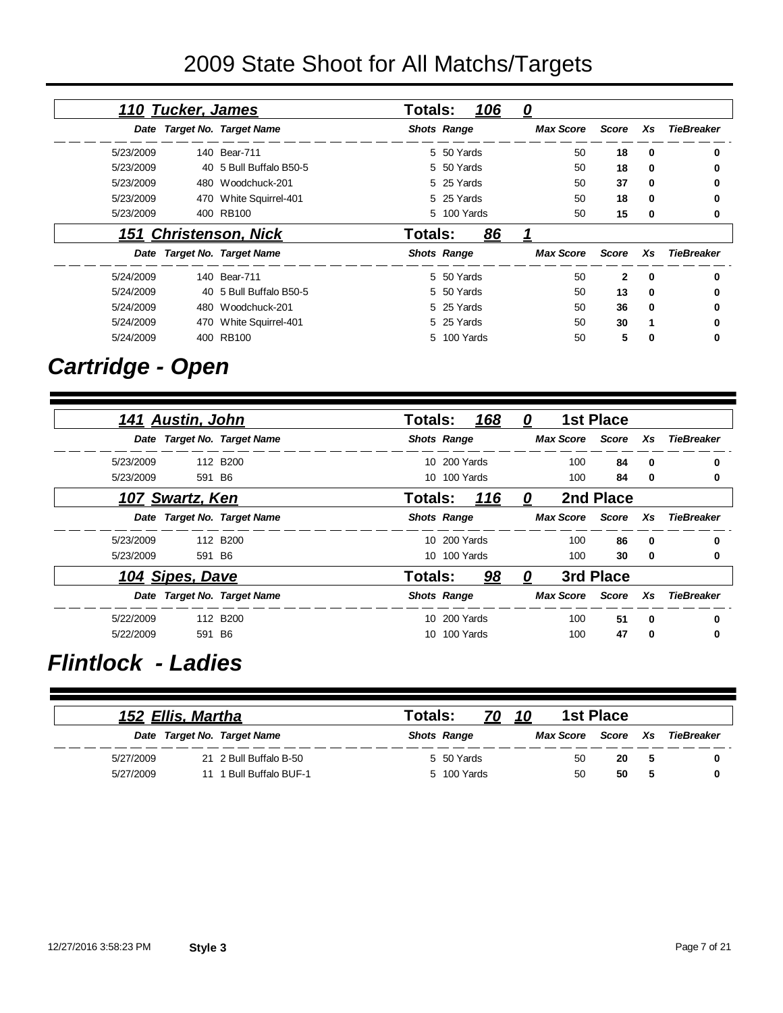## 2009 State Shoot for All Matchs/Targets

|                   |             |              | <u>0</u>         | 106         | <b>Totals:</b>     |                             | 110 Tucker, James |           |
|-------------------|-------------|--------------|------------------|-------------|--------------------|-----------------------------|-------------------|-----------|
| TieBreaker        | Xs          | Score        | <b>Max Score</b> |             | <b>Shots Range</b> | Date Target No. Target Name |                   |           |
|                   | 0           | 18           | 50               | 5 50 Yards  |                    | 140 Bear-711                |                   | 5/23/2009 |
|                   | 0           | 18           | 50               | 5 50 Yards  |                    | 40 5 Bull Buffalo B50-5     |                   | 5/23/2009 |
| 0                 | 0           | 37           | 50               | 5 25 Yards  |                    | 480 Woodchuck-201           |                   | 5/23/2009 |
|                   | $\Omega$    | 18           | 50               | 5 25 Yards  |                    | 470 White Squirrel-401      |                   | 5/23/2009 |
| 0                 | 0           | 15           | 50               | 5 100 Yards |                    | 400 RB100                   |                   | 5/23/2009 |
|                   |             |              |                  | 86          | Totals:            | 151 Christenson, Nick       |                   |           |
| <b>TieBreaker</b> | <b>Xs</b>   | Score        | <b>Max Score</b> |             | <b>Shots Range</b> | Date Target No. Target Name |                   |           |
| 0                 | 0           | $\mathbf{2}$ | 50               | 5 50 Yards  |                    | 140 Bear-711                |                   | 5/24/2009 |
| o                 | $\mathbf 0$ | 13           | 50               | 5 50 Yards  |                    | 40 5 Bull Buffalo B50-5     |                   | 5/24/2009 |
|                   | 0           | 36           | 50               | 5 25 Yards  |                    | 480 Woodchuck-201           |                   | 5/24/2009 |
|                   |             | 30           | 50               | 5 25 Yards  |                    | 470 White Squirrel-401      |                   | 5/24/2009 |
| 0                 | 0           | 5            | 50               | 5 100 Yards |                    | 400 RB100                   |                   | 5/24/2009 |

## *Cartridge - Open*

|           | 141 Austin, John |                             | <b>Totals:</b>     |              | 168 | $\mathbf{\Omega}$ |                  | <b>1st Place</b>   |              |                   |
|-----------|------------------|-----------------------------|--------------------|--------------|-----|-------------------|------------------|--------------------|--------------|-------------------|
|           |                  | Date Target No. Target Name | <b>Shots Range</b> |              |     |                   | <b>Max Score</b> | Score              | Xs           | <b>TieBreaker</b> |
| 5/23/2009 |                  | 112 B200                    |                    | 10 200 Yards |     |                   | 100              | 84                 | 0            | 0                 |
| 5/23/2009 | 591 B6           |                             |                    | 10 100 Yards |     |                   | 100              | 84                 | $\mathbf 0$  | 0                 |
|           | 107 Swartz, Ken  |                             | Totals:            |              | 116 | 0                 |                  | 2nd Place          |              |                   |
|           |                  | Date Target No. Target Name | <b>Shots Range</b> |              |     |                   |                  | Max Score Score Xs |              | TieBreaker        |
| 5/23/2009 |                  | 112 B200                    |                    | 10 200 Yards |     |                   | 100              | 86                 | $\bf{0}$     | 0                 |
| 5/23/2009 | 591 B6           |                             |                    | 10 100 Yards |     |                   | 100              | 30                 | $\mathbf 0$  | 0                 |
|           | 104 Sipes, Dave  |                             | <b>Totals:</b>     |              | 98  | 0                 |                  | 3rd Place          |              |                   |
|           |                  | Date Target No. Target Name | <b>Shots Range</b> |              |     |                   | <b>Max Score</b> | Score              | Xs           | <b>TieBreaker</b> |
| 5/22/2009 |                  | 112 B200                    |                    | 10 200 Yards |     |                   | 100              | 51                 | $\mathbf{0}$ | 0                 |
| 5/22/2009 | 591 B6           |                             | 10.                | 100 Yards    |     |                   | 100              | 47                 | 0            | 0                 |

### *Flintlock - Ladies*

|           | 152 Ellis, Martha |                             | Totals: |                    | 10        | <b>1st Place</b> |    |            |
|-----------|-------------------|-----------------------------|---------|--------------------|-----------|------------------|----|------------|
|           |                   | Date Target No. Target Name |         | <b>Shots Range</b> | Max Score | Score Xs         |    | TieBreaker |
| 5/27/2009 |                   | 21 2 Bull Buffalo B-50      |         | 5 50 Yards         | 50        | 20               | -5 |            |
| 5/27/2009 | 11                | 1 Bull Buffalo BUF-1        |         | 5 100 Yards        | 50        | 50               | -5 |            |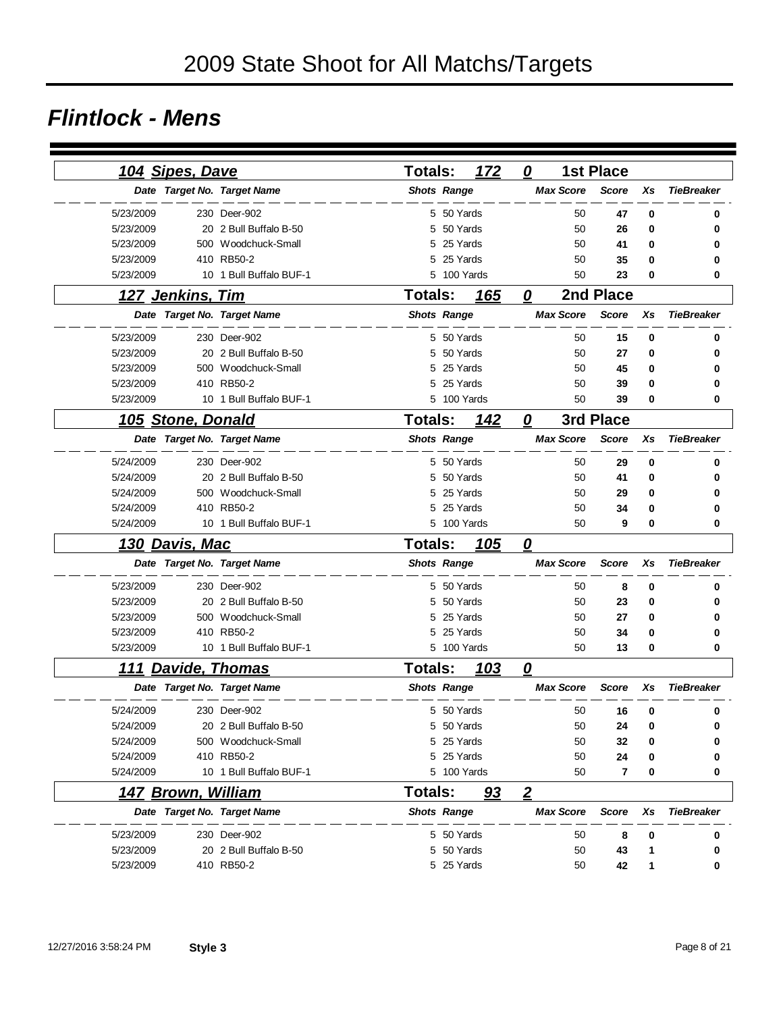#### *Flintlock - Mens*

|           | 104 Sipes, Dave           |                             | Totals:            |            | 172         | 0                       |                  | <b>1st Place</b>        |    |                   |
|-----------|---------------------------|-----------------------------|--------------------|------------|-------------|-------------------------|------------------|-------------------------|----|-------------------|
|           |                           | Date Target No. Target Name | <b>Shots Range</b> |            |             |                         | <b>Max Score</b> | <b>Score</b>            | Xs | <b>TieBreaker</b> |
| 5/23/2009 |                           | 230 Deer-902                |                    | 5 50 Yards |             |                         | 50               | 47                      | 0  | 0                 |
| 5/23/2009 |                           | 20 2 Bull Buffalo B-50      | 5                  |            | 50 Yards    |                         | 50               | 26                      | 0  | 0                 |
| 5/23/2009 |                           | 500 Woodchuck-Small         | 5                  |            | 25 Yards    |                         | 50               | 41                      | 0  |                   |
| 5/23/2009 |                           | 410 RB50-2                  | 5                  |            | 25 Yards    |                         | 50               | 35                      | 0  |                   |
| 5/23/2009 |                           | 10 1 Bull Buffalo BUF-1     |                    |            | 5 100 Yards |                         | 50               | 23                      | 0  | 0                 |
|           | 127 Jenkins, Tim          |                             | <b>Totals:</b>     |            | 165         | 0                       |                  | 2nd Place               |    |                   |
|           |                           | Date Target No. Target Name | <b>Shots Range</b> |            |             |                         | <b>Max Score</b> | <b>Score</b>            | Xs | <b>TieBreaker</b> |
| 5/23/2009 |                           | 230 Deer-902                |                    | 5 50 Yards |             |                         | 50               | 15                      | 0  | 0                 |
| 5/23/2009 |                           | 20 2 Bull Buffalo B-50      | 5                  |            | 50 Yards    |                         | 50               | 27                      | 0  |                   |
| 5/23/2009 |                           | 500 Woodchuck-Small         | 5                  |            | 25 Yards    |                         | 50               | 45                      | 0  |                   |
| 5/23/2009 |                           | 410 RB50-2                  | 5                  |            | 25 Yards    |                         | 50               | 39                      | 0  |                   |
| 5/23/2009 |                           | 10 1 Bull Buffalo BUF-1     |                    |            | 5 100 Yards |                         | 50               | 39                      | 0  | 0                 |
|           | 105 Stone, Donald         |                             | <b>Totals:</b>     |            | 142         | $\boldsymbol{0}$        |                  | 3rd Place               |    |                   |
|           |                           | Date Target No. Target Name | <b>Shots Range</b> |            |             |                         | <b>Max Score</b> | <b>Score</b>            | Xs | <b>TieBreaker</b> |
| 5/24/2009 |                           | 230 Deer-902                |                    | 5 50 Yards |             |                         | 50               | 29                      | 0  | 0                 |
| 5/24/2009 |                           | 20 2 Bull Buffalo B-50      |                    | 5 50 Yards |             |                         | 50               | 41                      | 0  |                   |
| 5/24/2009 |                           | 500 Woodchuck-Small         |                    | 5 25 Yards |             |                         | 50               | 29                      | 0  |                   |
| 5/24/2009 |                           | 410 RB50-2                  |                    | 5 25 Yards |             |                         | 50               | 34                      | 0  |                   |
| 5/24/2009 |                           | 10 1 Bull Buffalo BUF-1     |                    |            | 5 100 Yards |                         | 50               | 9                       | 0  | 0                 |
|           | <u>130 Davis, Mac</u>     |                             | <b>Totals:</b>     |            | 105         | $\overline{\mathbf{0}}$ |                  |                         |    |                   |
|           |                           | Date Target No. Target Name | <b>Shots Range</b> |            |             |                         | <b>Max Score</b> | <b>Score</b>            | Xs | <b>TieBreaker</b> |
| 5/23/2009 |                           | 230 Deer-902                |                    | 5 50 Yards |             |                         | 50               | 8                       | 0  | 0                 |
| 5/23/2009 |                           | 20 2 Bull Buffalo B-50      | 5                  |            | 50 Yards    |                         | 50               | 23                      | 0  | 0                 |
| 5/23/2009 |                           | 500 Woodchuck-Small         | 5                  |            | 25 Yards    |                         | 50               | 27                      | 0  | 0                 |
| 5/23/2009 |                           | 410 RB50-2                  |                    | 5 25 Yards |             |                         | 50               | 34                      | 0  | 0                 |
| 5/23/2009 |                           | 10 1 Bull Buffalo BUF-1     |                    |            | 5 100 Yards |                         | 50               | 13                      | 0  | 0                 |
|           | <b>111 Davide, Thomas</b> |                             | <b>Totals:</b>     |            | 103         | 0                       |                  |                         |    |                   |
|           |                           | Date Target No. Target Name | <b>Shots Range</b> |            |             |                         | <b>Max Score</b> | <b>Score</b>            | Xs | <b>TieBreaker</b> |
| 5/24/2009 |                           | 230 Deer-902                |                    | 5 50 Yards |             |                         | 50               | 16                      | 0  | 0                 |
| 5/24/2009 |                           | 20 2 Bull Buffalo B-50      |                    |            | 5 50 Yards  |                         | 50               | 24                      | 0  | 0                 |
| 5/24/2009 |                           | 500 Woodchuck-Small         | 5                  |            | 25 Yards    |                         | 50               | 32                      | 0  | 0                 |
| 5/24/2009 |                           | 410 RB50-2                  |                    |            | 5 25 Yards  |                         | 50               | 24                      | 0  |                   |
| 5/24/2009 |                           | 10 1 Bull Buffalo BUF-1     |                    |            | 5 100 Yards |                         | 50               | $\overline{\mathbf{r}}$ | 0  | 0                 |
|           | <u>147 Brown, William</u> |                             | <b>Totals:</b>     |            | <u>93</u>   | $\overline{2}$          |                  |                         |    |                   |
|           |                           | Date Target No. Target Name | <b>Shots Range</b> |            |             |                         | <b>Max Score</b> | <b>Score</b>            | Xs | <b>TieBreaker</b> |
| 5/23/2009 |                           | 230 Deer-902                |                    |            | 5 50 Yards  |                         | 50               | 8                       | 0  | 0                 |
| 5/23/2009 |                           | 20 2 Bull Buffalo B-50      |                    |            | 5 50 Yards  |                         | 50               | 43                      | 1  | 0                 |
| 5/23/2009 |                           | 410 RB50-2                  |                    | 5 25 Yards |             |                         | 50               | 42                      | 1  | 0                 |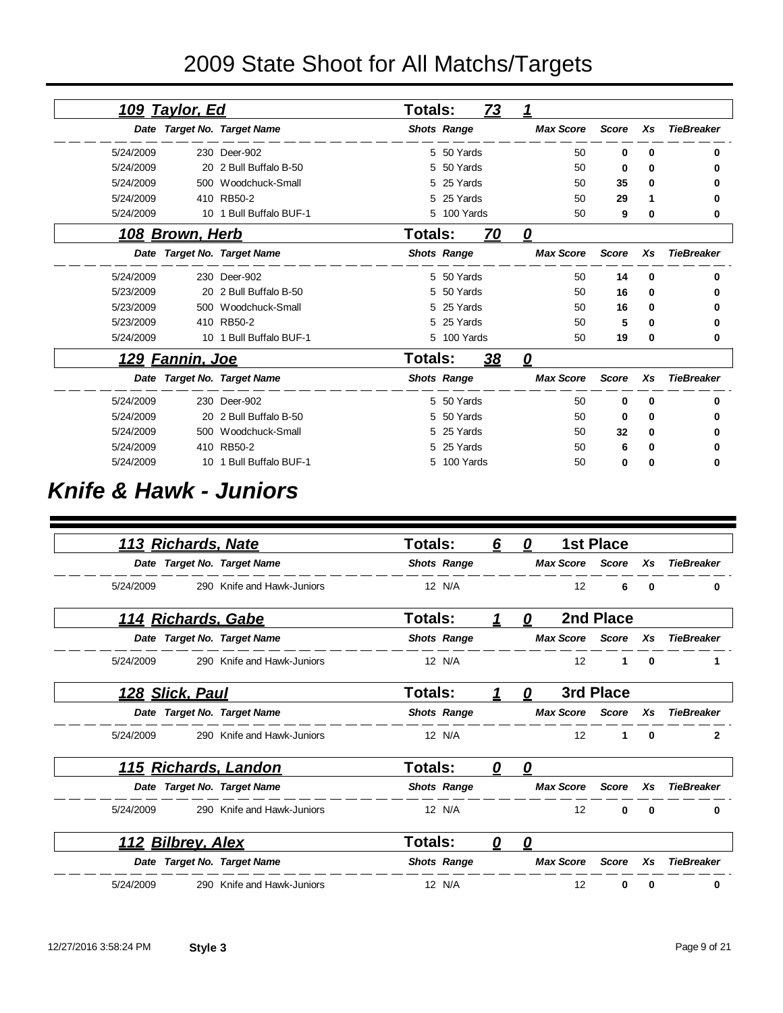## 2009 State Shoot for All Matchs/Targets

|           | <u> 109 Taylor, Ed</u>  |                             | <b>Totals:</b> |                    | <b>73</b> | 1                 |              |          |                   |
|-----------|-------------------------|-----------------------------|----------------|--------------------|-----------|-------------------|--------------|----------|-------------------|
|           |                         | Date Target No. Target Name |                | <b>Shots Range</b> |           | <b>Max Score</b>  | <b>Score</b> | Xs       | <b>TieBreaker</b> |
| 5/24/2009 |                         | 230 Deer-902                |                | 5 50 Yards         |           | 50                | 0            | 0        | 0                 |
| 5/24/2009 |                         | 20 2 Bull Buffalo B-50      |                | 5 50 Yards         |           | 50                | 0            | 0        | 0                 |
| 5/24/2009 |                         | 500 Woodchuck-Small         |                | 5 25 Yards         |           | 50                | 35           | 0        | 0                 |
| 5/24/2009 |                         | 410 RB50-2                  |                | 5 25 Yards         |           | 50                | 29           | 1        | 0                 |
| 5/24/2009 |                         | 10 1 Bull Buffalo BUF-1     |                | 5 100 Yards        |           | 50                | 9            | 0        | 0                 |
|           | <u> 108 Brown, Herb</u> |                             | Totals:        |                    | <u>70</u> | $\mathbf{\Omega}$ |              |          |                   |
|           |                         | Date Target No. Target Name |                | <b>Shots Range</b> |           | <b>Max Score</b>  | <b>Score</b> | Xs       | <b>TieBreaker</b> |
| 5/24/2009 |                         | 230 Deer-902                |                | 5 50 Yards         |           | 50                | 14           | 0        | 0                 |
| 5/23/2009 |                         | 20 2 Bull Buffalo B-50      |                | 5 50 Yards         |           | 50                | 16           | 0        | o                 |
| 5/23/2009 |                         | 500 Woodchuck-Small         |                | 5 25 Yards         |           | 50                | 16           | 0        | n                 |
| 5/23/2009 |                         | 410 RB50-2                  |                | 5 25 Yards         |           | 50                | 5            | 0        |                   |
| 5/24/2009 |                         | 10 1 Bull Buffalo BUF-1     |                | 5 100 Yards        |           | 50                | 19           | 0        | 0                 |
|           | <u> 129 Fannin, Joe</u> |                             | <b>Totals:</b> |                    | 38        | 0                 |              |          |                   |
|           |                         | Date Target No. Target Name |                | <b>Shots Range</b> |           | <b>Max Score</b>  | <b>Score</b> | Xs       | <b>TieBreaker</b> |
| 5/24/2009 |                         | 230 Deer-902                |                | 5 50 Yards         |           | 50                | 0            | $\bf{0}$ | 0                 |
| 5/24/2009 | 20                      | 2 Bull Buffalo B-50         | 5.             | 50 Yards           |           | 50                | 0            | 0        | o                 |
| 5/24/2009 |                         | 500 Woodchuck-Small         |                | 5 25 Yards         |           | 50                | 32           | 0        | o                 |
| 5/24/2009 |                         | 410 RB50-2                  | 5.             | 25 Yards           |           | 50                | 6            | 0        | n                 |
| 5/24/2009 |                         | 10 1 Bull Buffalo BUF-1     |                | 5 100 Yards        |           | 50                | 0            | 0        | 0                 |

#### *Knife & Hawk - Juniors*

| 113 Richards, Nate        |                             | <b>Totals:</b>     | 6 | O |                   | <b>1st Place</b> |          |                   |
|---------------------------|-----------------------------|--------------------|---|---|-------------------|------------------|----------|-------------------|
|                           | Date Target No. Target Name | <b>Shots Range</b> |   |   | <b>Max Score</b>  | <b>Score</b>     | Xs       | <b>TieBreaker</b> |
| 5/24/2009                 | 290 Knife and Hawk-Juniors  | 12 N/A             |   |   | 12                | 6                | 0        | 0                 |
| <u>114 Richards, Gabe</u> |                             | <b>Totals:</b>     | 1 | 0 |                   | 2nd Place        |          |                   |
|                           | Date Target No. Target Name | <b>Shots Range</b> |   |   | <b>Max Score</b>  | Score            | Xs       | <b>TieBreaker</b> |
| 5/24/2009                 | 290 Knife and Hawk-Juniors  | 12 N/A             |   |   | 12                | 1                | $\bf{0}$ |                   |
| <u>128 Slick, Paul</u>    |                             | Totals:            | 1 | 0 |                   | 3rd Place        |          |                   |
|                           | Date Target No. Target Name | <b>Shots Range</b> |   |   | <b>Max Score</b>  | Score            | Xs       | <b>TieBreaker</b> |
| 5/24/2009                 | 290 Knife and Hawk-Juniors  | 12 N/A             |   |   | 12                | 1                | $\Omega$ | $\mathbf{2}$      |
|                           | 115 Richards, Landon        | Totals:            | 0 | 0 |                   |                  |          |                   |
|                           | Date Target No. Target Name | <b>Shots Range</b> |   |   | <b>Max Score</b>  | Score            | Xs       | <b>TieBreaker</b> |
| 5/24/2009                 | 290 Knife and Hawk-Juniors  | 12 N/A             |   |   | 12                | 0                | $\bf{0}$ | 0                 |
| <u>112 Bilbrey, Alex</u>  |                             | <b>Totals:</b>     | 0 | n |                   |                  |          |                   |
|                           | Date Target No. Target Name | <b>Shots Range</b> |   |   | <b>Max Score</b>  | <b>Score</b>     | Xs       | <b>TieBreaker</b> |
| 5/24/2009                 | 290 Knife and Hawk-Juniors  | 12 N/A             |   |   | $12 \overline{ }$ | 0                | 0        | 0                 |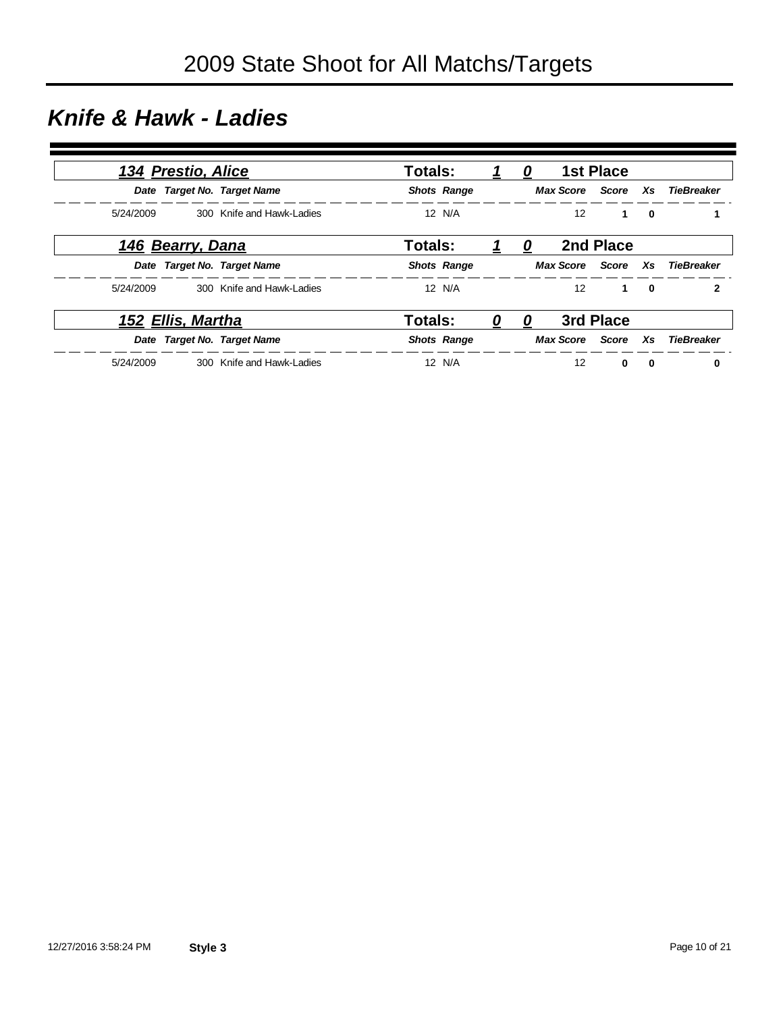### *Knife & Hawk - Ladies*

|           | 134 Prestio, Alice       |                             | <b>Totals:</b>     |   | 0 |                  | <b>1st Place</b> |              |                               |
|-----------|--------------------------|-----------------------------|--------------------|---|---|------------------|------------------|--------------|-------------------------------|
|           |                          | Date Target No. Target Name | <b>Shots Range</b> |   |   |                  |                  |              | Max Score Score Xs TieBreaker |
| 5/24/2009 |                          | 300 Knife and Hawk-Ladies   | 12 N/A             |   |   | 12 <sup>2</sup>  | $\mathbf{1}$     | $\mathbf{0}$ |                               |
|           | 146 Bearry, Dana         |                             | <b>Totals:</b>     |   | 0 |                  | 2nd Place        |              |                               |
|           |                          | Date Target No. Target Name | <b>Shots Range</b> |   |   |                  |                  |              | Max Score Score Xs TieBreaker |
| 5/24/2009 |                          | 300 Knife and Hawk-Ladies   | 12 N/A             |   |   | 12 <sup>12</sup> | $\mathbf 1$      | $\mathbf{0}$ | $\mathbf{2}$                  |
|           | <u>152 Ellis, Martha</u> |                             | Totals:            | 0 | 0 |                  | 3rd Place        |              |                               |
|           |                          | Date Target No. Target Name | <b>Shots Range</b> |   |   |                  |                  |              | Max Score Score Xs TieBreaker |
| 5/24/2009 |                          | 300 Knife and Hawk-Ladies   | 12 N/A             |   |   | 12               | $\mathbf{0}$     | 0            | 0                             |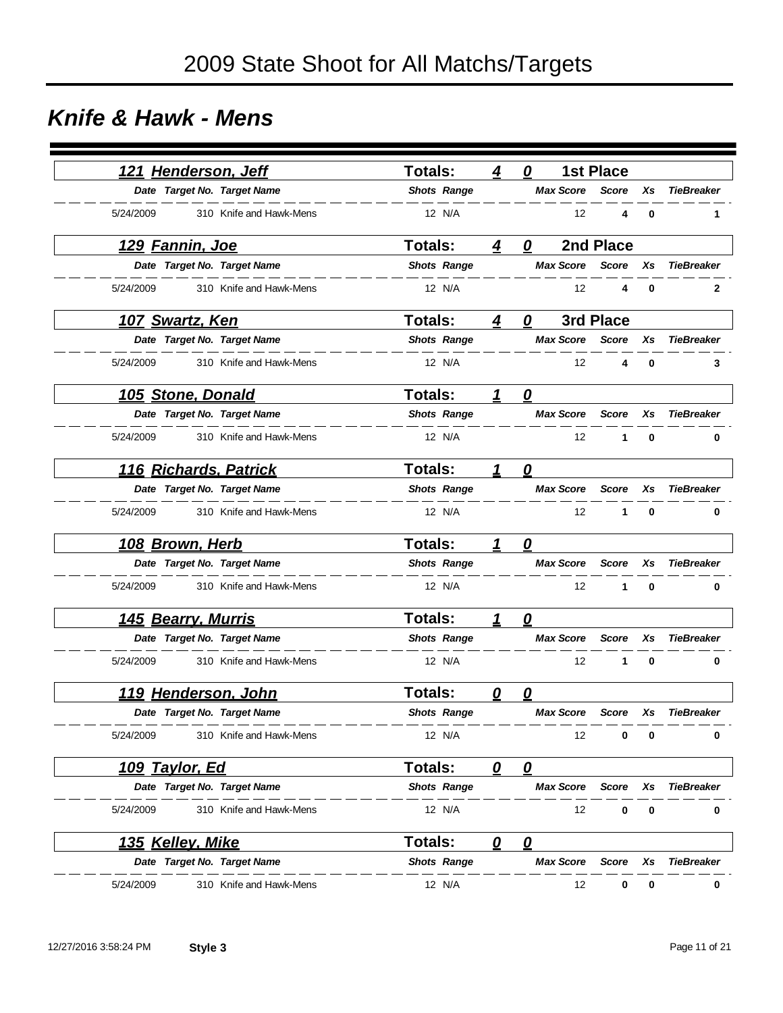### *Knife & Hawk - Mens*

|           | 121 Henderson, Jeff      |                             | Totals:            | 4                       | 0                       |                   | <b>1st Place</b> |          |                   |
|-----------|--------------------------|-----------------------------|--------------------|-------------------------|-------------------------|-------------------|------------------|----------|-------------------|
|           |                          | Date Target No. Target Name | <b>Shots Range</b> |                         |                         | <b>Max Score</b>  | <b>Score</b>     | Xs       | <b>TieBreaker</b> |
| 5/24/2009 |                          | 310 Knife and Hawk-Mens     | 12 N/A             |                         |                         | 12                | 4                | 0        | 1                 |
|           | <u>129 Fannin, Joe</u>   |                             | <b>Totals:</b>     | 4                       | 0                       |                   | 2nd Place        |          |                   |
|           |                          | Date Target No. Target Name | <b>Shots Range</b> |                         |                         | <b>Max Score</b>  | <b>Score</b>     | Xs       | <b>TieBreaker</b> |
| 5/24/2009 |                          | 310 Knife and Hawk-Mens     | 12 N/A             |                         |                         | 12                | 4                | $\bf{0}$ | 2                 |
|           | <u> 107 Swartz, Ken</u>  |                             | <b>Totals:</b>     | 4                       | 0                       |                   | 3rd Place        |          |                   |
|           |                          | Date Target No. Target Name | <b>Shots Range</b> |                         |                         | <b>Max Score</b>  | <b>Score</b>     | Xs       | <b>TieBreaker</b> |
| 5/24/2009 |                          | 310 Knife and Hawk-Mens     | 12 N/A             |                         |                         | $12 \overline{ }$ | 4                | 0        | 3                 |
|           | <b>105 Stone, Donald</b> |                             | <b>Totals:</b>     | 1                       | $\boldsymbol{\varrho}$  |                   |                  |          |                   |
|           |                          | Date Target No. Target Name | <b>Shots Range</b> |                         |                         | <b>Max Score</b>  | <b>Score</b>     | Xs       | <b>TieBreaker</b> |
| 5/24/2009 |                          | 310 Knife and Hawk-Mens     | 12 N/A             |                         |                         | 12                | 1                | $\bf{0}$ | 0                 |
|           |                          | 116 Richards, Patrick       | <b>Totals:</b>     | 1                       | 0                       |                   |                  |          |                   |
|           |                          | Date Target No. Target Name | <b>Shots Range</b> |                         |                         | <b>Max Score</b>  | <b>Score</b>     | Xs       | <b>TieBreaker</b> |
| 5/24/2009 |                          | 310 Knife and Hawk-Mens     | 12 N/A             |                         |                         | 12                | 1                | $\bf{0}$ | 0                 |
|           | 108 Brown, Herb          |                             | <b>Totals:</b>     | 1                       | 0                       |                   |                  |          |                   |
|           |                          | Date Target No. Target Name | <b>Shots Range</b> |                         |                         | <b>Max Score</b>  | <b>Score</b>     | Xs       | <b>TieBreaker</b> |
| 5/24/2009 |                          | 310 Knife and Hawk-Mens     | 12 N/A             |                         |                         | 12                | 1                | 0        | 0                 |
|           | 145 Bearry, Murris       |                             | <b>Totals:</b>     | 1                       | 0                       |                   |                  |          |                   |
|           |                          | Date Target No. Target Name | <b>Shots Range</b> |                         |                         | <b>Max Score</b>  | <b>Score</b>     | Xs       | <b>TieBreaker</b> |
| 5/24/2009 |                          | 310 Knife and Hawk-Mens     | 12 N/A             |                         |                         | 12                | 1                | $\bf{0}$ | 0                 |
|           |                          | 119 Henderson, John         | <b>Totals:</b>     | $\overline{\mathbf{0}}$ | $\overline{\mathbf{0}}$ |                   |                  |          |                   |
|           |                          | Date Target No. Target Name | <b>Shots Range</b> |                         |                         | <b>Max Score</b>  | Score            | Xs       | <b>TieBreaker</b> |
| 5/24/2009 |                          | 310 Knife and Hawk-Mens     | 12 N/A             |                         |                         | 12                | 0                | 0        | 0                 |
|           | 109 Taylor, Ed           |                             | <b>Totals:</b>     | 0                       | $\boldsymbol{\varrho}$  |                   |                  |          |                   |
|           |                          | Date Target No. Target Name | <b>Shots Range</b> |                         |                         | <b>Max Score</b>  | <b>Score</b>     | Xs       | <b>TieBreaker</b> |
| 5/24/2009 |                          | 310 Knife and Hawk-Mens     | 12 N/A             |                         |                         | 12                | 0                | 0        | 0                 |
|           | 135 Kelley, Mike         |                             | Totals:            | 0                       | $\overline{\mathbf{0}}$ |                   |                  |          |                   |
|           |                          | Date Target No. Target Name | <b>Shots Range</b> |                         |                         | <b>Max Score</b>  | <b>Score</b>     | Xs       | <b>TieBreaker</b> |
| 5/24/2009 |                          | 310 Knife and Hawk-Mens     | 12 N/A             |                         |                         | 12                | 0                | 0        | 0                 |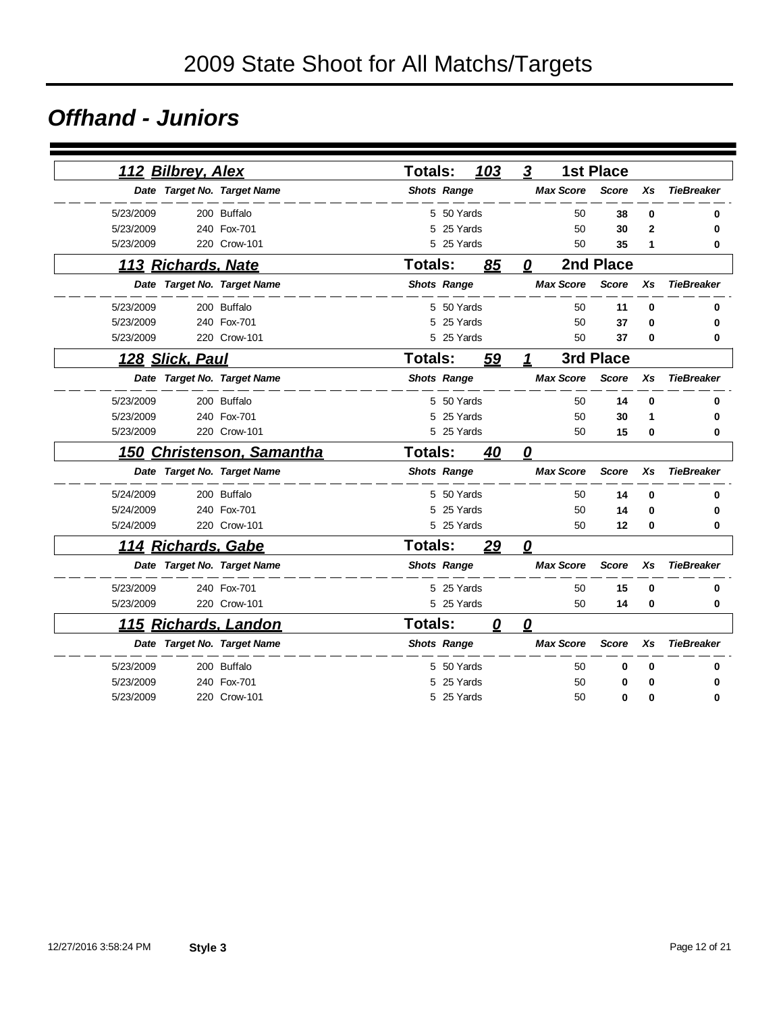### *Offhand - Juniors*

|           | 112 Bilbrey, Alex         |                             | <b>Totals:</b> |                    | 103 | $\boldsymbol{3}$        |                  | <b>1st Place</b> |                |                   |
|-----------|---------------------------|-----------------------------|----------------|--------------------|-----|-------------------------|------------------|------------------|----------------|-------------------|
|           |                           | Date Target No. Target Name |                | <b>Shots Range</b> |     |                         | <b>Max Score</b> | <b>Score</b>     | Xs             | <b>TieBreaker</b> |
| 5/23/2009 |                           | 200 Buffalo                 |                | 5 50 Yards         |     |                         | 50               | 38               | 0              | 0                 |
| 5/23/2009 |                           | 240 Fox-701                 | 5              | 25 Yards           |     |                         | 50               | 30               | $\overline{2}$ | 0                 |
| 5/23/2009 |                           | 220 Crow-101                |                | 5 25 Yards         |     |                         | 50               | 35               | 1              | 0                 |
|           | 113 Richards, Nate        |                             | <b>Totals:</b> |                    | 85  | 0                       |                  | 2nd Place        |                |                   |
|           |                           | Date Target No. Target Name |                | <b>Shots Range</b> |     |                         | <b>Max Score</b> | <b>Score</b>     | Xs             | <b>TieBreaker</b> |
| 5/23/2009 |                           | 200 Buffalo                 |                | 5 50 Yards         |     |                         | 50               | 11               | 0              | 0                 |
| 5/23/2009 |                           | 240 Fox-701                 | 5              | 25 Yards           |     |                         | 50               | 37               | 0              | 0                 |
| 5/23/2009 |                           | 220 Crow-101                |                | 5 25 Yards         |     |                         | 50               | 37               | 0              | 0                 |
|           | 128 Slick, Paul           |                             | <b>Totals:</b> |                    | 59  | 1                       |                  | 3rd Place        |                |                   |
|           |                           | Date Target No. Target Name |                | <b>Shots Range</b> |     |                         | <b>Max Score</b> | <b>Score</b>     | Xs             | <b>TieBreaker</b> |
| 5/23/2009 |                           | 200 Buffalo                 |                | 5 50 Yards         |     |                         | 50               | 14               | $\bf{0}$       | 0                 |
| 5/23/2009 |                           | 240 Fox-701                 | 5              | 25 Yards           |     |                         | 50               | 30               | 1              | 0                 |
| 5/23/2009 |                           | 220 Crow-101                |                | 5 25 Yards         |     |                         | 50               | 15               | 0              | 0                 |
|           |                           | 150 Christenson, Samantha   | Totals:        |                    | 40  | 0                       |                  |                  |                |                   |
|           |                           | Date Target No. Target Name |                | <b>Shots Range</b> |     |                         | <b>Max Score</b> | <b>Score</b>     | Xs             | <b>TieBreaker</b> |
| 5/24/2009 |                           | 200 Buffalo                 |                | 5 50 Yards         |     |                         | 50               | 14               | 0              | 0                 |
| 5/24/2009 |                           | 240 Fox-701                 | 5              | 25 Yards           |     |                         | 50               | 14               | 0              | 0                 |
| 5/24/2009 |                           | 220 Crow-101                |                | 5 25 Yards         |     |                         | 50               | 12               | $\bf{0}$       | 0                 |
|           | <u>114 Richards, Gabe</u> |                             | <b>Totals:</b> |                    | 29  | 0                       |                  |                  |                |                   |
|           |                           | Date Target No. Target Name |                | <b>Shots Range</b> |     |                         | <b>Max Score</b> | <b>Score</b>     | Xs             | <b>TieBreaker</b> |
| 5/23/2009 |                           | 240 Fox-701                 |                | 5 25 Yards         |     |                         | 50               | 15               | 0              | 0                 |
| 5/23/2009 |                           | 220 Crow-101                |                | 5 25 Yards         |     |                         | 50               | 14               | 0              | 0                 |
|           |                           | 115 Richards, Landon        | <b>Totals:</b> |                    | 0   | $\overline{\mathbf{0}}$ |                  |                  |                |                   |
|           |                           | Date Target No. Target Name |                | <b>Shots Range</b> |     |                         | <b>Max Score</b> | <b>Score</b>     | Xs             | <b>TieBreaker</b> |
| 5/23/2009 |                           | 200 Buffalo                 |                | 5 50 Yards         |     |                         | 50               | 0                | 0              |                   |
| 5/23/2009 |                           | 240 Fox-701                 | 5              | 25 Yards           |     |                         | 50               | 0                | 0              | 0                 |
| 5/23/2009 |                           | 220 Crow-101                |                | 5 25 Yards         |     |                         | 50               | 0                | 0              | 0                 |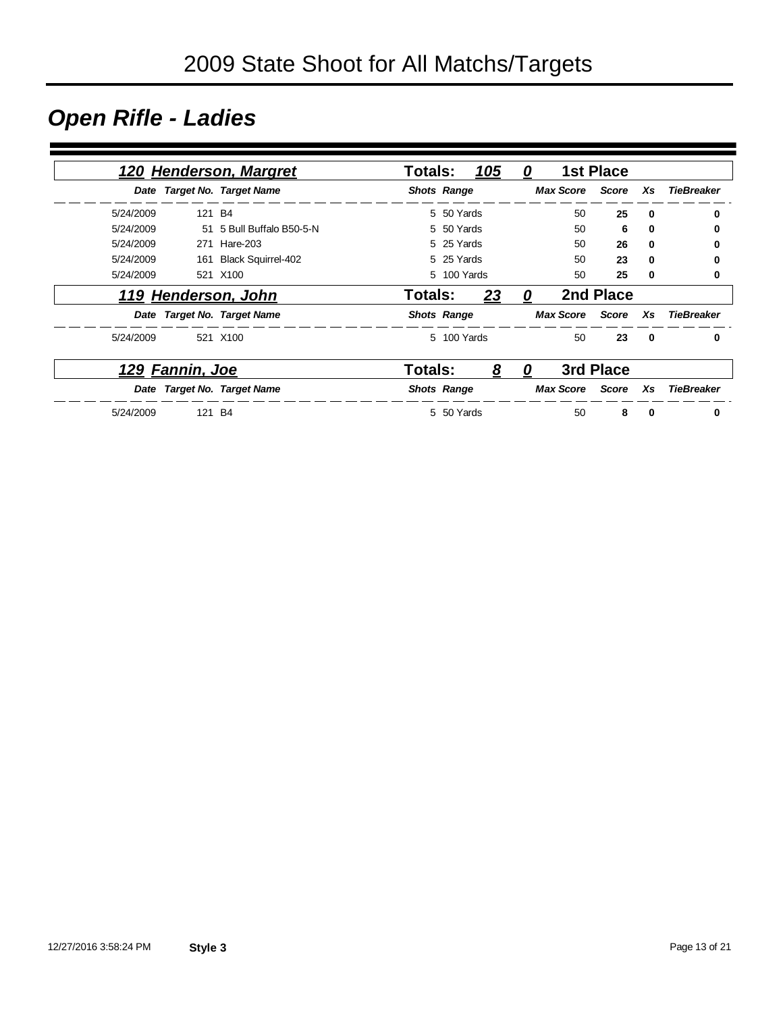## *Open Rifle - Ladies*

|           |                 | 120 Henderson, Margret      | Totals:            |             | 105 | 0 |                  | <b>1st Place</b> |              |                   |
|-----------|-----------------|-----------------------------|--------------------|-------------|-----|---|------------------|------------------|--------------|-------------------|
|           |                 | Date Target No. Target Name | <b>Shots Range</b> |             |     |   | <b>Max Score</b> | Score            | Xs           | <b>TieBreaker</b> |
| 5/24/2009 | 121 B4          |                             |                    | 5 50 Yards  |     |   | 50               | 25               | 0            | 0                 |
| 5/24/2009 |                 | 51 5 Bull Buffalo B50-5-N   |                    | 5 50 Yards  |     |   | 50               | 6                | 0            | 0                 |
| 5/24/2009 | 271             | Hare-203                    |                    | 5 25 Yards  |     |   | 50               | 26               | 0            | 0                 |
| 5/24/2009 | 161             | <b>Black Squirrel-402</b>   |                    | 5 25 Yards  |     |   | 50               | 23               | $\bf{0}$     | 0                 |
| 5/24/2009 |                 | 521 X100                    |                    | 5 100 Yards |     |   | 50               | 25               | 0            | 0                 |
|           |                 | 119 Henderson, John         | Totals:            |             | 23  | 0 |                  | 2nd Place        |              |                   |
|           |                 | Date Target No. Target Name | <b>Shots Range</b> |             |     |   | <b>Max Score</b> | Score            | Xs           | TieBreaker        |
| 5/24/2009 |                 | 521 X100                    |                    | 5 100 Yards |     |   | 50               | 23               | $\mathbf{0}$ | $\bf{0}$          |
|           | 129 Fannin, Joe |                             | Totals:            |             | 8   | 0 |                  | 3rd Place        |              |                   |
|           |                 | Date Target No. Target Name | <b>Shots Range</b> |             |     |   | <b>Max Score</b> | Score            | Xs           | <b>TieBreaker</b> |
| 5/24/2009 | 121 B4          |                             |                    | 5 50 Yards  |     |   | 50               | 8                | 0            | 0                 |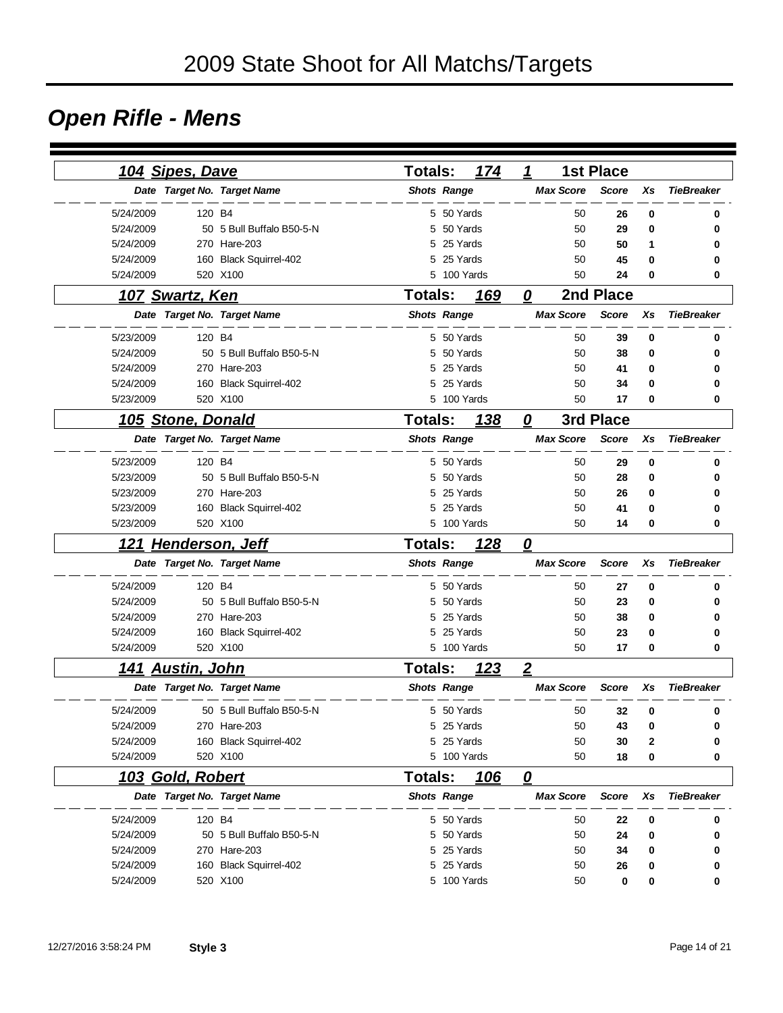## *Open Rifle - Mens*

|           | 104 Sipes, Dave         |                             | <b>Totals:</b>     | 174         | $\mathbf 1$             |                  | <b>1st Place</b> |             |                   |
|-----------|-------------------------|-----------------------------|--------------------|-------------|-------------------------|------------------|------------------|-------------|-------------------|
|           |                         | Date Target No. Target Name | <b>Shots Range</b> |             |                         | <b>Max Score</b> | <b>Score</b>     | Xs          | <b>TieBreaker</b> |
| 5/24/2009 | 120 B4                  |                             |                    | 5 50 Yards  |                         | 50               | 26               | 0           | 0                 |
| 5/24/2009 |                         | 50 5 Bull Buffalo B50-5-N   | 5                  | 50 Yards    |                         | 50               | 29               | 0           | 0                 |
| 5/24/2009 |                         | 270 Hare-203                | 5                  | 25 Yards    |                         | 50               | 50               | 1           | 0                 |
| 5/24/2009 |                         | 160 Black Squirrel-402      | 5                  | 25 Yards    |                         | 50               | 45               | 0           | 0                 |
| 5/24/2009 |                         | 520 X100                    |                    | 5 100 Yards |                         | 50               | 24               | 0           | 0                 |
|           | 107 Swartz, Ken         |                             | <b>Totals:</b>     | 169         | 0                       |                  | 2nd Place        |             |                   |
|           |                         | Date Target No. Target Name | <b>Shots Range</b> |             |                         | <b>Max Score</b> | <b>Score</b>     | Xs          | <b>TieBreaker</b> |
| 5/23/2009 | 120 B4                  |                             |                    | 5 50 Yards  |                         | 50               | 39               | $\mathbf 0$ | 0                 |
| 5/24/2009 |                         | 50 5 Bull Buffalo B50-5-N   | 5                  | 50 Yards    |                         | 50               | 38               | 0           | 0                 |
| 5/24/2009 |                         | 270 Hare-203                | 5                  | 25 Yards    |                         | 50               | 41               | 0           |                   |
| 5/24/2009 |                         | 160 Black Squirrel-402      | 5                  | 25 Yards    |                         | 50               | 34               | 0           |                   |
| 5/23/2009 |                         | 520 X100                    | 5                  | 100 Yards   |                         | 50               | 17               | 0           | 0                 |
|           | 105 Stone, Donald       |                             | <b>Totals:</b>     | <u>138</u>  | 0                       |                  | 3rd Place        |             |                   |
|           |                         | Date Target No. Target Name | <b>Shots Range</b> |             |                         | <b>Max Score</b> | Score            | Xs          | <b>TieBreaker</b> |
| 5/23/2009 | 120 B4                  |                             | 5                  | 50 Yards    |                         | 50               | 29               | 0           | 0                 |
| 5/23/2009 |                         | 50 5 Bull Buffalo B50-5-N   | 5                  | 50 Yards    |                         | 50               | 28               | 0           | 0                 |
| 5/23/2009 |                         | 270 Hare-203                | 5                  | 25 Yards    |                         | 50               | 26               | 0           |                   |
| 5/23/2009 |                         | 160 Black Squirrel-402      | 5                  | 25 Yards    |                         | 50               | 41               | 0           |                   |
| 5/23/2009 |                         | 520 X100                    |                    | 5 100 Yards |                         | 50               | 14               | 0           | 0                 |
|           | 121 Henderson, Jeff     |                             | <b>Totals:</b>     | 128         | 0                       |                  |                  |             |                   |
|           |                         | Date Target No. Target Name | <b>Shots Range</b> |             |                         | <b>Max Score</b> | <b>Score</b>     | Xs          | <b>TieBreaker</b> |
| 5/24/2009 | 120 B4                  |                             |                    | 5 50 Yards  |                         | 50               | 27               | 0           | 0                 |
| 5/24/2009 |                         | 50 5 Bull Buffalo B50-5-N   | 5                  | 50 Yards    |                         | 50               | 23               | 0           | 0                 |
| 5/24/2009 |                         | 270 Hare-203                | 5                  | 25 Yards    |                         | 50               | 38               | 0           |                   |
| 5/24/2009 |                         | 160 Black Squirrel-402      | 5                  | 25 Yards    |                         | 50               | 23               | 0           | 0                 |
| 5/24/2009 |                         | 520 X100                    |                    | 5 100 Yards |                         | 50               | 17               | 0           | 0                 |
|           | <u>141 Austin, John</u> |                             | <b>Totals:</b>     | 123         | $\overline{2}$          |                  |                  |             |                   |
|           |                         | Date Target No. Target Name | <b>Shots Range</b> |             |                         | <b>Max Score</b> | <b>Score</b>     | Xs          | <b>TieBreaker</b> |
| 5/24/2009 |                         | 50 5 Bull Buffalo B50-5-N   |                    | 5 50 Yards  |                         | 50               | 32               | 0           | 0                 |
| 5/24/2009 |                         | 270 Hare-203                |                    | 5 25 Yards  |                         | 50               | 43               | 0           | 0                 |
| 5/24/2009 |                         | 160 Black Squirrel-402      |                    | 5 25 Yards  |                         | 50               | 30               | 2           | 0                 |
| 5/24/2009 |                         | 520 X100                    |                    | 5 100 Yards |                         | 50               | 18               | 0           | 0                 |
|           | 103 Gold, Robert        |                             | <b>Totals:</b>     | <u> 106</u> | $\overline{\mathbf{0}}$ |                  |                  |             |                   |
|           |                         | Date Target No. Target Name | <b>Shots Range</b> |             |                         | <b>Max Score</b> | <b>Score</b>     | Xs          | <b>TieBreaker</b> |
| 5/24/2009 | 120 B4                  |                             |                    | 5 50 Yards  |                         | 50               | 22               | 0           | 0                 |
| 5/24/2009 |                         | 50 5 Bull Buffalo B50-5-N   |                    | 5 50 Yards  |                         | 50               | 24               | 0           | 0                 |
| 5/24/2009 |                         | 270 Hare-203                |                    | 5 25 Yards  |                         | 50               | 34               | 0           | 0                 |
| 5/24/2009 |                         | 160 Black Squirrel-402      |                    | 5 25 Yards  |                         | 50               | 26               | 0           | 0                 |
| 5/24/2009 |                         | 520 X100                    |                    | 5 100 Yards |                         | 50               | 0                | 0           | 0                 |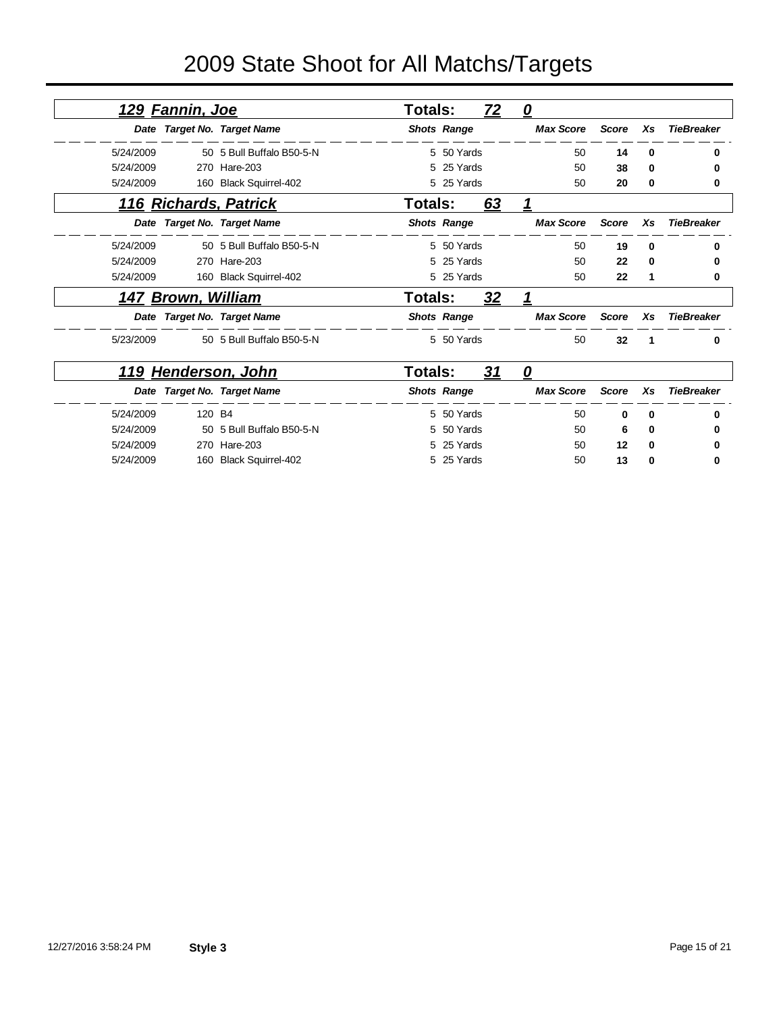# 2009 State Shoot for All Matchs/Targets

|           | 129 Fannin, Joe    |                             | Totals: |                    | <u>72</u> | $\mathbf{\Omega}$ |       |          |                   |
|-----------|--------------------|-----------------------------|---------|--------------------|-----------|-------------------|-------|----------|-------------------|
|           |                    | Date Target No. Target Name |         | <b>Shots Range</b> |           | <b>Max Score</b>  | Score | Xs       | <b>TieBreaker</b> |
| 5/24/2009 |                    | 50 5 Bull Buffalo B50-5-N   |         | 5 50 Yards         |           | 50                | 14    | $\bf{0}$ | 0                 |
| 5/24/2009 |                    | 270 Hare-203                |         | 5 25 Yards         |           | 50                | 38    | 0        | 0                 |
| 5/24/2009 |                    | 160 Black Squirrel-402      |         | 5 25 Yards         |           | 50                | 20    | 0        | 0                 |
|           |                    | 116 Richards, Patrick       | Totals: |                    | 63        | 1                 |       |          |                   |
|           |                    | Date Target No. Target Name |         | <b>Shots Range</b> |           | <b>Max Score</b>  | Score | Xs       | <b>TieBreaker</b> |
| 5/24/2009 |                    | 50 5 Bull Buffalo B50-5-N   |         | 5 50 Yards         |           | 50                | 19    | $\bf{0}$ | 0                 |
| 5/24/2009 |                    | 270 Hare-203                |         | 5 25 Yards         |           | 50                | 22    | 0        | 0                 |
| 5/24/2009 |                    | 160 Black Squirrel-402      |         | 5 25 Yards         |           | 50                | 22    | 1        | 0                 |
|           | 147 Brown, William |                             | Totals: |                    | <u>32</u> |                   |       |          |                   |
|           |                    | Date Target No. Target Name |         | <b>Shots Range</b> |           | <b>Max Score</b>  | Score | Xs       | <b>TieBreaker</b> |
| 5/23/2009 |                    | 50 5 Bull Buffalo B50-5-N   |         | 5 50 Yards         |           | 50                | 32    | -1       | 0                 |
| 119       |                    | <b>Henderson, John</b>      | Totals: |                    | <u>31</u> | 0                 |       |          |                   |

|           | <u>וווט ןווטכו שטווח צו ו</u> | ı vlais. | vı                 | U         |       |              |            |
|-----------|-------------------------------|----------|--------------------|-----------|-------|--------------|------------|
|           | Date Target No. Target Name   |          | <b>Shots Range</b> | Max Score | Score | <b>Xs</b>    | TieBreaker |
| 5/24/2009 | 120 B4                        |          | 5 50 Yards         | 50        | 0     | $\mathbf{0}$ |            |
| 5/24/2009 | 50 5 Bull Buffalo B50-5-N     |          | 5 50 Yards         | 50        | 6     | 0            |            |
| 5/24/2009 | 270 Hare-203                  |          | 5 25 Yards         | 50        | 12    | 0            |            |
| 5/24/2009 | 160 Black Squirrel-402        |          | 5 25 Yards         | 50        | 13    | $\mathbf 0$  |            |
|           |                               |          |                    |           |       |              |            |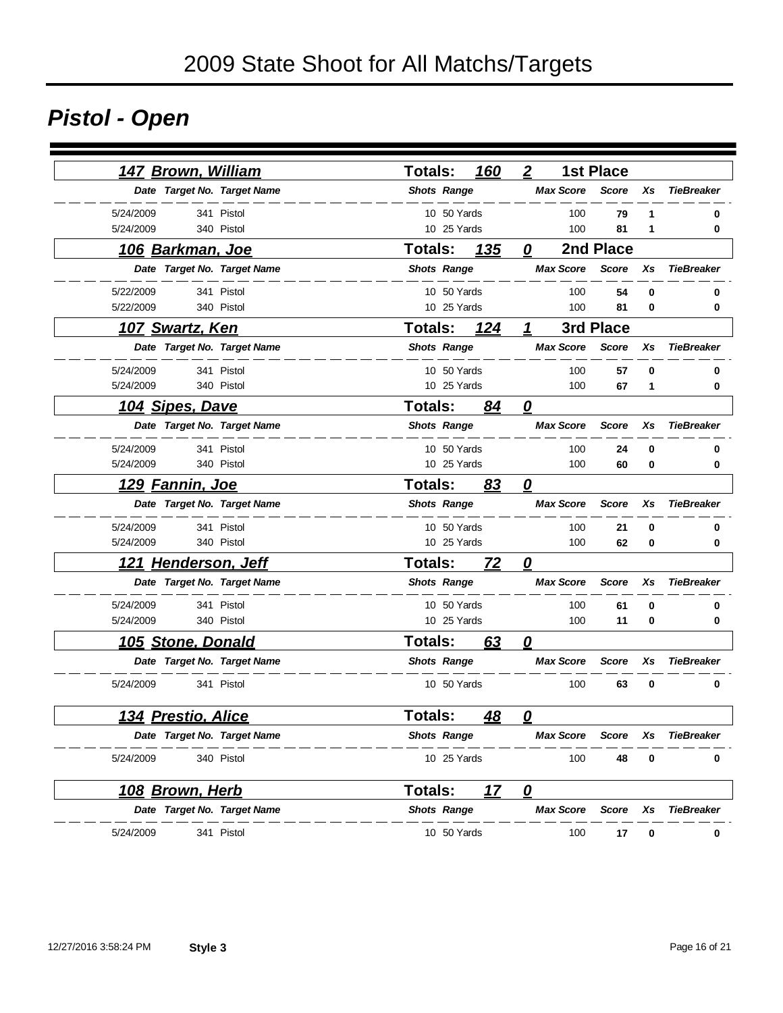# *Pistol - Open*

| 147 Brown, William        |                             | Totals:            |                    | 160 | $\boldsymbol{2}$        | <b>1st Place</b> |    |                   |
|---------------------------|-----------------------------|--------------------|--------------------|-----|-------------------------|------------------|----|-------------------|
|                           | Date Target No. Target Name | <b>Shots Range</b> |                    |     | <b>Max Score</b>        | <b>Score</b>     | Xs | <b>TieBreaker</b> |
| 5/24/2009                 | 341 Pistol                  |                    | 10 50 Yards        |     | 100                     | 79               | 1  | 0                 |
| 5/24/2009                 | 340 Pistol                  |                    | 10 25 Yards        |     | 100                     | 81               | 1  | 0                 |
| <u>106 Barkman, Joe</u>   |                             | <b>Totals:</b>     |                    | 135 | 0                       | 2nd Place        |    |                   |
|                           | Date Target No. Target Name | <b>Shots Range</b> |                    |     | <b>Max Score</b>        | <b>Score</b>     | Xs | <b>TieBreaker</b> |
| 5/22/2009                 | 341 Pistol                  |                    | 10 50 Yards        |     | 100                     | 54               | 0  | 0                 |
| 5/22/2009                 | 340 Pistol                  |                    | 10 25 Yards        |     | 100                     | 81               | 0  | 0                 |
| <u> 107 Swartz, Ken</u>   |                             | Totals:            |                    | 124 | 1                       | 3rd Place        |    |                   |
|                           | Date Target No. Target Name | <b>Shots Range</b> |                    |     | <b>Max Score</b>        | <b>Score</b>     | Xs | <b>TieBreaker</b> |
| 5/24/2009                 | 341 Pistol                  |                    | 10 50 Yards        |     | 100                     | 57               | 0  | 0                 |
| 5/24/2009                 | 340 Pistol                  |                    | 10 25 Yards        |     | 100                     | 67               | 1  | 0                 |
| <u> 104 Sipes, Dave</u>   |                             | <b>Totals:</b>     |                    | 84  | 0                       |                  |    |                   |
|                           | Date Target No. Target Name | <b>Shots Range</b> |                    |     | <b>Max Score</b>        | <b>Score</b>     | Xs | <b>TieBreaker</b> |
| 5/24/2009                 | 341 Pistol                  |                    | 10 50 Yards        |     | 100                     | 24               | 0  | 0                 |
| 5/24/2009                 | 340 Pistol                  |                    | 10 25 Yards        |     | 100                     | 60               | 0  | 0                 |
| <u>129 Fannin, Joe</u>    |                             | Totals:            |                    | 83  | $\overline{\mathbf{0}}$ |                  |    |                   |
|                           | Date Target No. Target Name | <b>Shots Range</b> |                    |     | <b>Max Score</b>        | <b>Score</b>     | Xs | <b>TieBreaker</b> |
| 5/24/2009                 | 341 Pistol                  |                    | 10 50 Yards        |     | 100                     | 21               | 0  | 0                 |
| 5/24/2009                 | 340 Pistol                  |                    | 10 25 Yards        |     | 100                     | 62               | 0  | 0                 |
| 121 Henderson, Jeff       |                             | <b>Totals:</b>     |                    | 72  | $\overline{\mathbf{0}}$ |                  |    |                   |
|                           | Date Target No. Target Name | <b>Shots Range</b> |                    |     | <b>Max Score</b>        | <b>Score</b>     | Xs | <b>TieBreaker</b> |
| 5/24/2009                 | 341 Pistol                  |                    | 10 50 Yards        |     | 100                     | 61               | 0  | 0                 |
| 5/24/2009                 | 340 Pistol                  |                    | 10 25 Yards        |     | 100                     | 11               | 0  | 0                 |
| 105 Stone, Donald         |                             | Totals:            |                    | 63  | $\boldsymbol{\varrho}$  |                  |    |                   |
|                           | Date Target No. Target Name | <b>Shots Range</b> |                    |     | <b>Max Score</b>        | <b>Score</b>     | Xs | <b>TieBreaker</b> |
| 5/24/2009                 | 341 Pistol                  |                    | 10 50 Yards        |     | 100                     | 63               | 0  | 0                 |
| <b>134 Prestio, Alice</b> |                             | Totals:            |                    | 48  | 0                       |                  |    |                   |
|                           | Date Target No. Target Name | <b>Shots Range</b> |                    |     | <b>Max Score</b>        | Score            | Xs | <b>TieBreaker</b> |
| 5/24/2009                 | 340 Pistol                  |                    | 10 25 Yards        |     | 100                     | 48               | 0  | 0                 |
| 108 Brown, Herb           |                             | <b>Totals:</b>     |                    | 17  | $\overline{\mathbf{0}}$ |                  |    |                   |
|                           | Date Target No. Target Name |                    | <b>Shots Range</b> |     | <b>Max Score</b>        | <b>Score</b>     | Xs | <b>TieBreaker</b> |
| 5/24/2009                 | 341 Pistol                  |                    | 10 50 Yards        |     | 100                     | 17               | 0  | 0                 |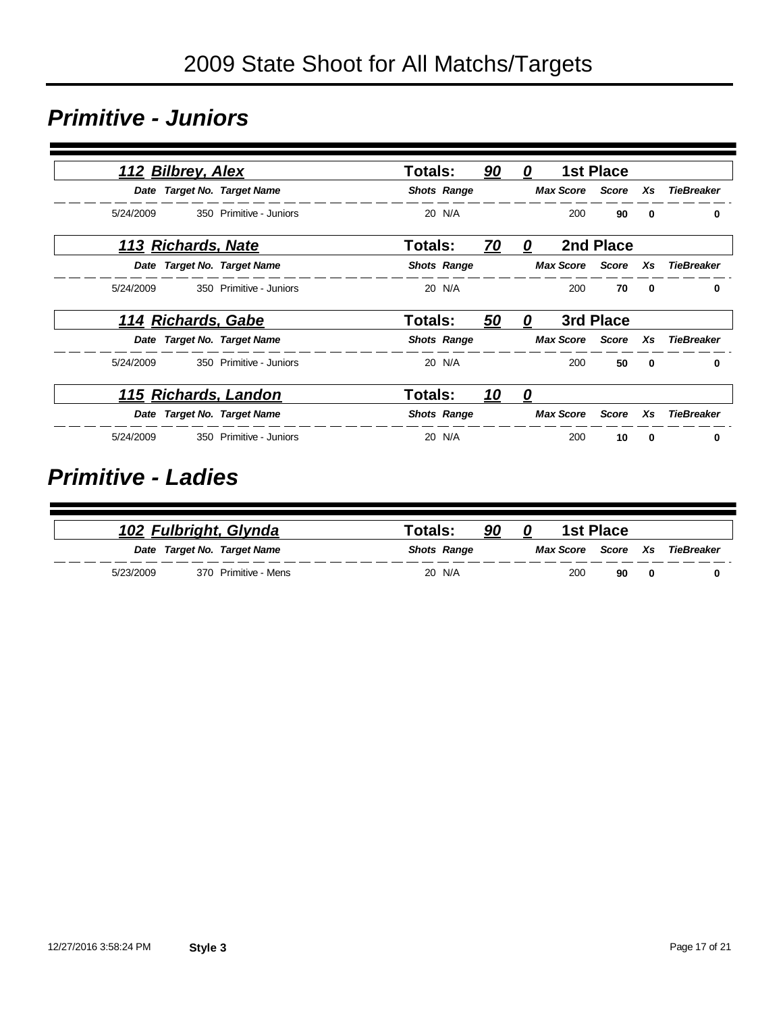### *Primitive - Juniors*

|           | 112 Bilbrey, Alex  |                             | Totals:        |                    | 90        | 0 |                        | <b>1st Place</b> |              |                   |
|-----------|--------------------|-----------------------------|----------------|--------------------|-----------|---|------------------------|------------------|--------------|-------------------|
|           |                    | Date Target No. Target Name |                | <b>Shots Range</b> |           |   | <b>Max Score Score</b> |                  | Xs           | TieBreaker        |
| 5/24/2009 |                    | 350 Primitive - Juniors     |                | 20 N/A             |           |   | 200                    | 90               | $\Omega$     | 0                 |
|           | 113 Richards, Nate |                             | <b>Totals:</b> |                    | <u>70</u> | 0 |                        | 2nd Place        |              |                   |
|           |                    | Date Target No. Target Name |                | <b>Shots Range</b> |           |   | <b>Max Score</b>       | Score            | Xs           | <b>TieBreaker</b> |
| 5/24/2009 |                    | 350 Primitive - Juniors     |                | 20 N/A             |           |   | 200                    | 70               | 0            | 0                 |
|           | 114 Richards, Gabe |                             | Totals:        |                    | 50        | 0 |                        | 3rd Place        |              |                   |
|           |                    | Date Target No. Target Name |                | <b>Shots Range</b> |           |   | <b>Max Score</b> Score |                  | Xs           | <b>TieBreaker</b> |
| 5/24/2009 |                    | 350 Primitive - Juniors     |                | 20 N/A             |           |   | 200                    | 50               | $\mathbf{0}$ | $\bf{0}$          |
|           |                    | 115 Richards, Landon        | <b>Totals:</b> |                    | <u>10</u> | 0 |                        |                  |              |                   |
|           |                    | Date Target No. Target Name |                | <b>Shots Range</b> |           |   | <b>Max Score</b>       | <b>Score</b>     | Xs           | <b>TieBreaker</b> |
| 5/24/2009 |                    | 350 Primitive - Juniors     |                | 20 N/A             |           |   | 200                    | 10               | $\mathbf{0}$ | 0                 |

#### *Primitive - Ladies*

|           | 102 Fulbright, Glynda       | Totals: | 90                 |     | <b>1st Place</b> |     |                               |
|-----------|-----------------------------|---------|--------------------|-----|------------------|-----|-------------------------------|
|           | Date Target No. Target Name |         | <b>Shots Range</b> |     |                  |     | Max Score Score Xs TieBreaker |
| 5/23/2009 | 370 Primitive - Mens        |         | 20 N/A             | 200 | 90               | - 0 |                               |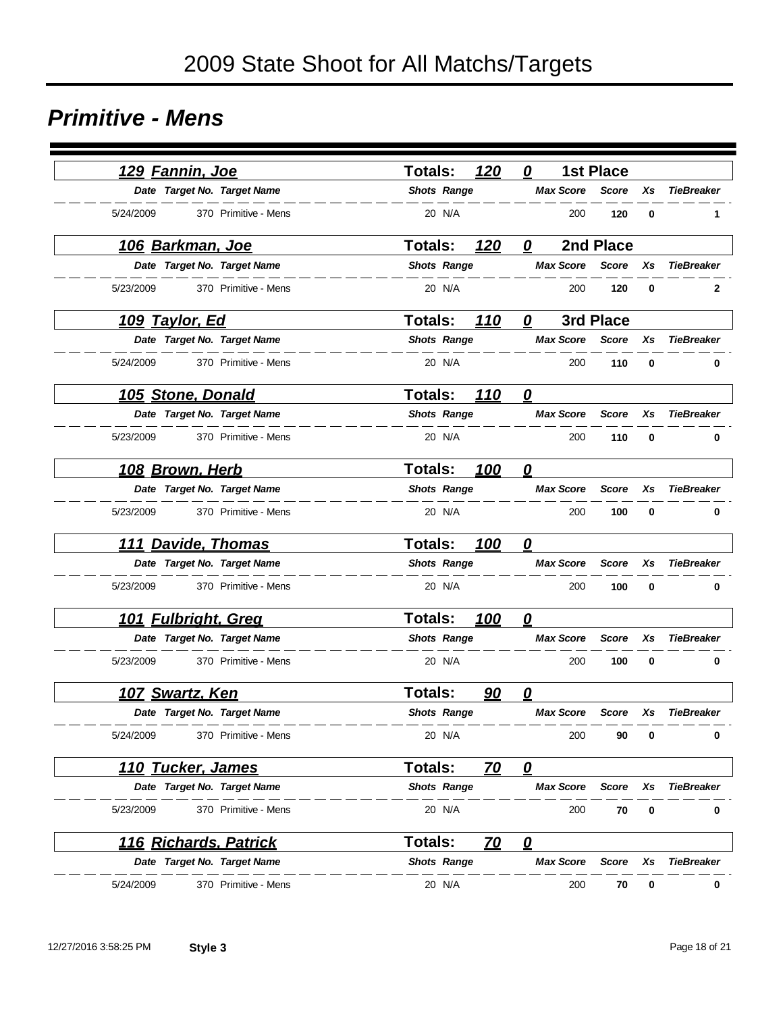#### *Primitive - Mens*

| <u> 129 Fannin, Joe</u>           | 120<br><b>Totals:</b>       | <b>1st Place</b><br>0            |          |                   |
|-----------------------------------|-----------------------------|----------------------------------|----------|-------------------|
| Date Target No. Target Name       | <b>Shots Range</b>          | <b>Max Score</b><br><b>Score</b> | Xs       | <b>TieBreaker</b> |
| 5/24/2009<br>370 Primitive - Mens | 20 N/A                      | 200<br>120                       | 0        | 1                 |
| <u>106 Barkman, Joe</u>           | <b>Totals:</b><br>120       | 2nd Place<br>0                   |          |                   |
| Date Target No. Target Name       | <b>Shots Range</b>          | <b>Max Score</b><br><b>Score</b> | Xs       | <b>TieBreaker</b> |
| 5/23/2009<br>370 Primitive - Mens | 20 N/A                      | 120<br>200                       | 0        | $\mathbf{2}$      |
| <u> 109 Taylor, Ed</u>            | <b>Totals:</b><br>110       | 3rd Place<br>0                   |          |                   |
| Date Target No. Target Name       | <b>Shots Range</b>          | <b>Max Score</b><br><b>Score</b> | Xs       | <b>TieBreaker</b> |
| 5/24/2009<br>370 Primitive - Mens | 20 N/A                      | 110<br>200                       | 0        | 0                 |
| 105 Stone, Donald                 | <b>Totals:</b><br>110       | $\mathbf{\Omega}$                |          |                   |
| Date Target No. Target Name       | <b>Shots Range</b>          | <b>Max Score</b><br>Score        | Xs       | <b>TieBreaker</b> |
| 5/23/2009<br>370 Primitive - Mens | 20 N/A                      | 200<br>110                       | 0        | 0                 |
| 108 Brown, Herb                   | <b>Totals:</b><br>100       | 0                                |          |                   |
| Date Target No. Target Name       | <b>Shots Range</b>          | <b>Max Score</b><br><b>Score</b> | Xs       | <b>TieBreaker</b> |
| 5/23/2009<br>370 Primitive - Mens | 20 N/A                      | 200<br>100                       | 0        | 0                 |
| 111 Davide, Thomas                | 100<br><b>Totals:</b>       | 0                                |          |                   |
| Date Target No. Target Name       | <b>Shots Range</b>          | <b>Max Score</b><br><b>Score</b> | Xs       | <b>TieBreaker</b> |
| 5/23/2009<br>370 Primitive - Mens | 20 N/A                      | 200<br>100                       | $\bf{0}$ | 0                 |
| 101 Fulbright, Greg               | <b>Totals:</b><br>100       | 0                                |          |                   |
| Date Target No. Target Name       | <b>Shots Range</b>          | <b>Max Score</b><br><b>Score</b> | Xs       | <b>TieBreaker</b> |
| 5/23/2009<br>370 Primitive - Mens | 20 N/A                      | 200<br>100                       | 0        | 0                 |
| <u>107 Swartz, Ken</u>            | <b>Totals:</b><br>90        | 0                                |          |                   |
| Date Target No. Target Name       | <b>Shots Range</b>          | <b>Max Score</b><br><b>Score</b> | Xs       | <b>TieBreaker</b> |
| 5/24/2009<br>370 Primitive - Mens | 20 N/A                      | 200<br>90                        | 0        | 0                 |
| <u> 110 Tucker, James</u>         | <b>Totals:</b><br><u>70</u> | $\overline{\bm{\varrho}}$        |          |                   |
| Date Target No. Target Name       | <b>Shots Range</b>          | <b>Max Score</b><br>Score        | Xs       | <b>TieBreaker</b> |
| 5/23/2009<br>370 Primitive - Mens | 20 N/A                      | 200<br>70                        | 0        | 0                 |
| <u> 116 Richards, Patrick</u>     | Totals:<br><u>70</u>        | $\overline{\mathbf{0}}$          |          |                   |
| Date Target No. Target Name       | <b>Shots Range</b>          | <b>Max Score</b><br>Score        | Xs       | <b>TieBreaker</b> |
| 5/24/2009<br>370 Primitive - Mens | 20 N/A                      | 200<br>70                        | 0        | 0                 |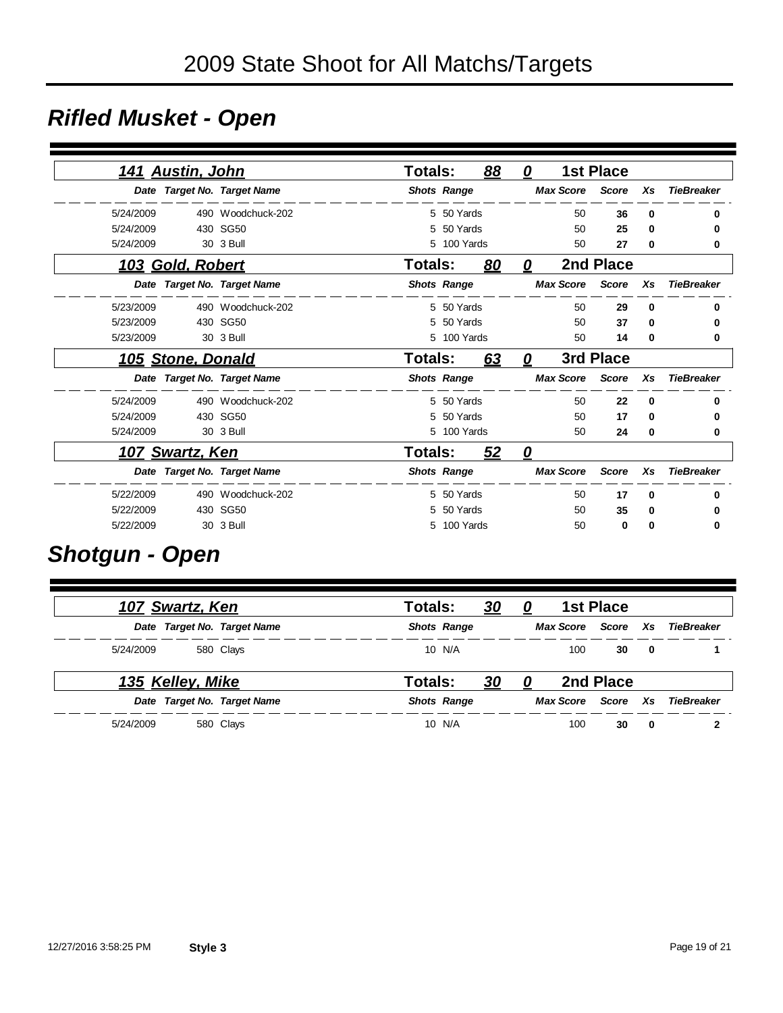### *Rifled Musket - Open*

|           |                         |                             | <b>Totals:</b> |                    |           | 0                |                  | <b>1st Place</b> |             |                   |
|-----------|-------------------------|-----------------------------|----------------|--------------------|-----------|------------------|------------------|------------------|-------------|-------------------|
|           | <u>141 Austin, John</u> |                             |                |                    | 88        |                  |                  |                  |             |                   |
|           |                         | Date Target No. Target Name |                | <b>Shots Range</b> |           |                  | <b>Max Score</b> | <b>Score</b>     | Xs          | <b>TieBreaker</b> |
| 5/24/2009 |                         | 490 Woodchuck-202           |                | 5 50 Yards         |           |                  | 50               | 36               | $\Omega$    | 0                 |
| 5/24/2009 |                         | 430 SG50                    | 5              | 50 Yards           |           |                  | 50               | 25               | 0           | 0                 |
| 5/24/2009 |                         | 30 3 Bull                   | 5              | 100 Yards          |           |                  | 50               | 27               | 0           | 0                 |
|           | 103 Gold, Robert        |                             | <b>Totals:</b> |                    | <u>80</u> | 0                |                  | 2nd Place        |             |                   |
|           |                         | Date Target No. Target Name |                | <b>Shots Range</b> |           |                  | <b>Max Score</b> | <b>Score</b>     | Xs          | <b>TieBreaker</b> |
| 5/23/2009 |                         | 490 Woodchuck-202           |                | 5 50 Yards         |           |                  | 50               | 29               | $\bf{0}$    | 0                 |
| 5/23/2009 |                         | 430 SG50                    | 5              | 50 Yards           |           |                  | 50               | 37               | 0           | 0                 |
| 5/23/2009 |                         | 30 3 Bull                   | 5              | 100 Yards          |           |                  | 50               | 14               | 0           | 0                 |
|           | 105 Stone, Donald       |                             | Totals:        |                    | 63        | 0                |                  | 3rd Place        |             |                   |
|           |                         | Date Target No. Target Name |                | <b>Shots Range</b> |           | <b>Max Score</b> |                  | <b>Score</b>     | Xs          | <b>TieBreaker</b> |
| 5/24/2009 |                         | 490 Woodchuck-202           |                | 5 50 Yards         |           |                  | 50               | 22               | $\mathbf 0$ | 0                 |
| 5/24/2009 |                         | 430 SG50                    | 5              | 50 Yards           |           |                  | 50               | 17               | 0           | 0                 |
| 5/24/2009 |                         | 30 3 Bull                   |                | 5 100 Yards        |           |                  | 50               | 24               | 0           | 0                 |
|           | <u>107 Swartz, Ken</u>  |                             | <b>Totals:</b> |                    | 52        | 0                |                  |                  |             |                   |
|           |                         | Date Target No. Target Name |                | <b>Shots Range</b> |           |                  | <b>Max Score</b> | <b>Score</b>     | Xs          | <b>TieBreaker</b> |
| 5/22/2009 |                         | 490 Woodchuck-202           |                | 5 50 Yards         |           |                  | 50               | 17               | 0           | 0                 |
| 5/22/2009 |                         | 430 SG50                    | 5              | 50 Yards           |           |                  | 50               | 35               | 0           | 0                 |
| 5/22/2009 |                         | 30 3 Bull                   |                | 5 100 Yards        |           |                  | 50               | 0                | 0           | 0                 |

### *Shotgun - Open*

| <u>107 Swartz, Ken</u>      | Totals: |                    | <u>30</u><br>0 |                  | 1st Place |     |            |
|-----------------------------|---------|--------------------|----------------|------------------|-----------|-----|------------|
| Date Target No. Target Name |         | <b>Shots Range</b> |                | <b>Max Score</b> | Score Xs  |     | TieBreaker |
| 5/24/2009<br>580 Clays      |         | 10 N/A             |                | 100              | 30        | 0   |            |
| <u>135 Kelley, Mike</u>     | Totals: |                    | <u>30</u><br>0 |                  | 2nd Place |     |            |
| Date Target No. Target Name |         | <b>Shots Range</b> |                | <b>Max Score</b> | Score     | Xs. | TieBreaker |
| 5/24/2009<br>580 Clays      |         | 10 N/A             |                | 100              | 30        | 0   |            |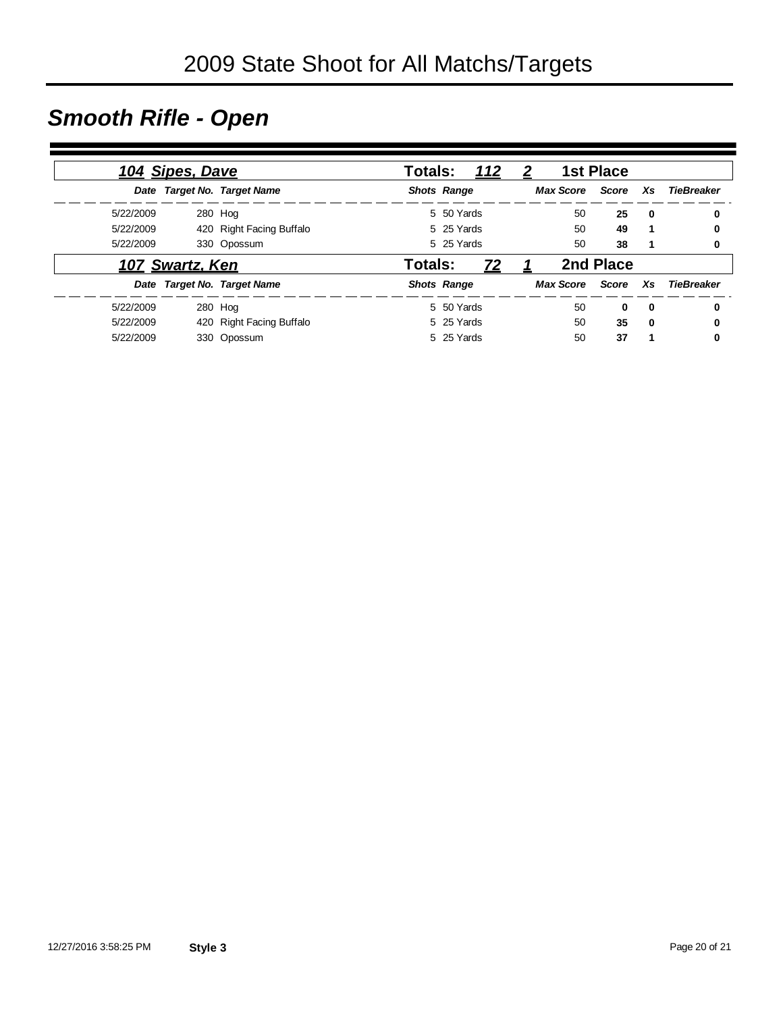## *Smooth Rifle - Open*

| 104 Sipes, Dave |                 | <b>Totals:</b><br>112       |                           |  | 1st Place<br>$\boldsymbol{2}$ |          |              |                   |
|-----------------|-----------------|-----------------------------|---------------------------|--|-------------------------------|----------|--------------|-------------------|
|                 |                 | Date Target No. Target Name | <b>Shots Range</b>        |  | <b>Max Score</b>              | Score Xs |              | <b>TieBreaker</b> |
| 5/22/2009       |                 | 280 Hog                     | 5 50 Yards                |  | 50                            | 25       | $\mathbf{0}$ | 0                 |
| 5/22/2009       |                 | 420 Right Facing Buffalo    | 5 25 Yards                |  | 50                            | 49       |              | 0                 |
| 5/22/2009       |                 | 330 Opossum                 | 5 25 Yards                |  | 50                            | 38       | 1            | 0                 |
|                 | 107 Swartz, Ken |                             | Totals:<br>Z <sub>2</sub> |  | 2nd Place                     |          |              |                   |
|                 |                 | Date Target No. Target Name | <b>Shots Range</b>        |  | <b>Max Score</b>              | Score    | Xs           | TieBreaker        |
| 5/22/2009       |                 | 280 Hog                     | 5 50 Yards                |  | 50                            | $\bf{0}$ | 0            | $\bf{0}$          |
| 5/22/2009       |                 | 420 Right Facing Buffalo    | 5 25 Yards                |  | 50                            | 35       | 0            | 0                 |
| 5/22/2009       |                 | 330 Opossum                 | 5 25 Yards                |  | 50                            | 37       | 1            | 0                 |